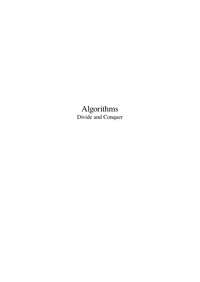Algorithms Divide and Conquer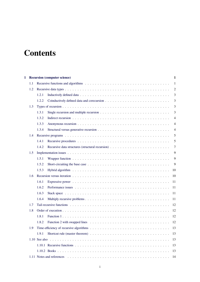# **Contents**

| 1 |     | <b>Recursion (computer science)</b><br>1                                                                                                                                                                                       |                |
|---|-----|--------------------------------------------------------------------------------------------------------------------------------------------------------------------------------------------------------------------------------|----------------|
|   | 1.1 |                                                                                                                                                                                                                                | $\mathbf{1}$   |
|   | 1.2 |                                                                                                                                                                                                                                | $\overline{2}$ |
|   |     | 1.2.1                                                                                                                                                                                                                          | 3              |
|   |     | 1.2.2                                                                                                                                                                                                                          | 3              |
|   | 1.3 |                                                                                                                                                                                                                                | 3              |
|   |     | 1.3.1                                                                                                                                                                                                                          | 3              |
|   |     | 1.3.2                                                                                                                                                                                                                          | $\overline{4}$ |
|   |     | 1.3.3                                                                                                                                                                                                                          | $\overline{4}$ |
|   |     | 1.3.4                                                                                                                                                                                                                          | $\overline{4}$ |
|   | 1.4 |                                                                                                                                                                                                                                | 5              |
|   |     | 1.4.1                                                                                                                                                                                                                          | 5              |
|   |     | 1.4.2                                                                                                                                                                                                                          | $\tau$         |
|   | 1.5 |                                                                                                                                                                                                                                | 9              |
|   |     | 1.5.1                                                                                                                                                                                                                          | 9              |
|   |     | 1.5.2                                                                                                                                                                                                                          | 9              |
|   |     | 1.5.3                                                                                                                                                                                                                          | 10             |
|   | 1.6 |                                                                                                                                                                                                                                | 10             |
|   |     | 1.6.1                                                                                                                                                                                                                          | 11             |
|   |     | 1.6.2                                                                                                                                                                                                                          | 11             |
|   |     | 1.6.3                                                                                                                                                                                                                          | 11             |
|   |     | 1.6.4                                                                                                                                                                                                                          | 11             |
|   | 1.7 |                                                                                                                                                                                                                                | 12             |
|   | 1.8 |                                                                                                                                                                                                                                | 12             |
|   |     | 1.8.1                                                                                                                                                                                                                          | 12             |
|   |     | 1.8.2                                                                                                                                                                                                                          | 12             |
|   | 1.9 |                                                                                                                                                                                                                                | 13             |
|   |     | 1.9.1                                                                                                                                                                                                                          | 13             |
|   |     |                                                                                                                                                                                                                                | 13             |
|   |     |                                                                                                                                                                                                                                | 13             |
|   |     |                                                                                                                                                                                                                                | 13             |
|   |     | 1.11 Notes and references entrances in the contract of the contract of the contract of the contract of the contract of the contract of the contract of the contract of the contract of the contract of the contract of the con | 14             |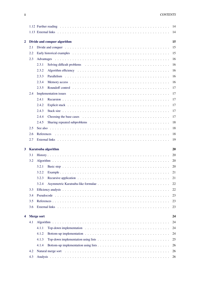|                |     |                                    |                                                                                                                                                                                                                                | - 14 |
|----------------|-----|------------------------------------|--------------------------------------------------------------------------------------------------------------------------------------------------------------------------------------------------------------------------------|------|
|                |     |                                    |                                                                                                                                                                                                                                | -14  |
| $\overline{2}$ |     | Divide and conquer algorithm<br>15 |                                                                                                                                                                                                                                |      |
|                | 2.1 |                                    |                                                                                                                                                                                                                                | 15   |
|                | 2.2 |                                    |                                                                                                                                                                                                                                | 15   |
|                | 2.3 |                                    |                                                                                                                                                                                                                                | -16  |
|                |     | 2.3.1                              |                                                                                                                                                                                                                                | 16   |
|                |     | 2.3.2                              |                                                                                                                                                                                                                                | 16   |
|                |     | 2.3.3                              |                                                                                                                                                                                                                                | 16   |
|                |     | 2.3.4                              |                                                                                                                                                                                                                                | 16   |
|                |     | 2.3.5                              |                                                                                                                                                                                                                                | 17   |
|                | 2.4 |                                    |                                                                                                                                                                                                                                | 17   |
|                |     | 2.4.1                              |                                                                                                                                                                                                                                | -17  |
|                |     | 2.4.2                              |                                                                                                                                                                                                                                | 17   |
|                |     | 2.4.3                              |                                                                                                                                                                                                                                | 17   |
|                |     | 2.4.4                              |                                                                                                                                                                                                                                | 17   |
|                |     | 2.4.5                              |                                                                                                                                                                                                                                | 18   |
|                | 2.5 |                                    |                                                                                                                                                                                                                                | 18   |
|                | 2.6 |                                    |                                                                                                                                                                                                                                | -18  |
|                | 2.7 |                                    |                                                                                                                                                                                                                                | -19  |
|                |     |                                    |                                                                                                                                                                                                                                |      |
| $\mathbf{3}$   |     |                                    | Karatsuba algorithm                                                                                                                                                                                                            | 20   |
|                | 3.1 |                                    |                                                                                                                                                                                                                                | 20   |
|                | 3.2 |                                    |                                                                                                                                                                                                                                | 20   |
|                |     | 3.2.1                              |                                                                                                                                                                                                                                | 20   |
|                |     | 3.2.2                              |                                                                                                                                                                                                                                | 21   |
|                |     | 3.2.3                              |                                                                                                                                                                                                                                | 21   |
|                |     | 3.2.4                              |                                                                                                                                                                                                                                | 22   |
|                | 3.3 |                                    |                                                                                                                                                                                                                                | 22   |
|                | 3.4 |                                    |                                                                                                                                                                                                                                | 23   |
|                | 3.5 |                                    |                                                                                                                                                                                                                                | 23   |
|                | 3.6 |                                    |                                                                                                                                                                                                                                | 23   |
| 4              |     | <b>Merge sort</b>                  |                                                                                                                                                                                                                                | 24   |
|                | 4.1 |                                    |                                                                                                                                                                                                                                | 24   |
|                |     | 4.1.1                              |                                                                                                                                                                                                                                | 24   |
|                |     | 4.1.2                              |                                                                                                                                                                                                                                | 24   |
|                |     | 4.1.3                              | Top-down implementation using lists $\dots \dots \dots \dots \dots \dots \dots \dots \dots \dots \dots \dots$                                                                                                                  | 25   |
|                |     | 4.1.4                              |                                                                                                                                                                                                                                | 26   |
|                | 4.2 |                                    | Natural merge sort in the contract of the contract of the contract of the contract of the contract of the contract of the contract of the contract of the contract of the contract of the contract of the contract of the cont | 26   |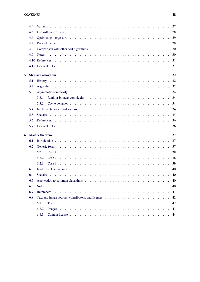|   | 4.4 |                                                                                                                                                                                                                               | 27 |
|---|-----|-------------------------------------------------------------------------------------------------------------------------------------------------------------------------------------------------------------------------------|----|
|   | 4.5 |                                                                                                                                                                                                                               | 28 |
|   | 4.6 |                                                                                                                                                                                                                               | 29 |
|   | 4.7 |                                                                                                                                                                                                                               | 29 |
|   | 4.8 |                                                                                                                                                                                                                               | 30 |
|   | 4.9 | <b>Notes</b>                                                                                                                                                                                                                  | 30 |
|   |     |                                                                                                                                                                                                                               | 31 |
|   |     |                                                                                                                                                                                                                               | 31 |
| 5 |     | <b>Strassen algorithm</b>                                                                                                                                                                                                     | 32 |
|   | 5.1 |                                                                                                                                                                                                                               | 32 |
|   | 5.2 |                                                                                                                                                                                                                               | 32 |
|   | 5.3 |                                                                                                                                                                                                                               | 34 |
|   |     | 5.3.1                                                                                                                                                                                                                         | 34 |
|   |     | 5.3.2                                                                                                                                                                                                                         | 34 |
|   | 5.4 | Implementation considerations experience in the contract of the contract of the consideration of the contract of the contract of the contract of the contract of the contract of the contract of the contract of the contract | 34 |
|   | 5.5 |                                                                                                                                                                                                                               | 35 |
|   | 5.6 |                                                                                                                                                                                                                               | 36 |
|   | 5.7 |                                                                                                                                                                                                                               | 36 |
|   |     |                                                                                                                                                                                                                               |    |
| 6 |     | <b>Master theorem</b>                                                                                                                                                                                                         | 37 |
|   | 6.1 |                                                                                                                                                                                                                               | 37 |
|   | 6.2 |                                                                                                                                                                                                                               | 37 |
|   |     | 6.2.1                                                                                                                                                                                                                         | 38 |
|   |     | 6.2.2<br>Case 2                                                                                                                                                                                                               | 38 |
|   |     | 6.2.3<br>Case 3                                                                                                                                                                                                               | 39 |
|   | 6.3 |                                                                                                                                                                                                                               | 40 |
|   | 6.4 |                                                                                                                                                                                                                               | 40 |
|   | 6.5 |                                                                                                                                                                                                                               | 40 |
|   | 6.6 | <b>Notes</b>                                                                                                                                                                                                                  | 40 |
|   | 6.7 | References                                                                                                                                                                                                                    | 41 |
|   | 6.8 |                                                                                                                                                                                                                               | 42 |
|   |     | 6.8.1                                                                                                                                                                                                                         | 42 |
|   |     | 6.8.2                                                                                                                                                                                                                         | 43 |
|   |     | 6.8.3                                                                                                                                                                                                                         | 44 |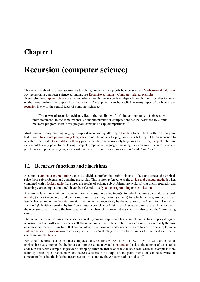# <span id="page-4-0"></span>**Chapter 1**

# **Recursion (computer science)**

This article is about recursive approaches to solving problems. For proofs by recursion, see Mathematical induction. For recursion in computer science acronyms, see Recursive acronym § Computer-related examples. **Recursion** in computer science is a method where the solution to a problem depends on solutions to smaller instances of the same problem (as opposed to iteration).[1] The approach can be applied to many types of problems, and recursion is one of the central ideas of computer science.<sup>[2]</sup>

"Th[e power of recursi](https://en.wikipedia.org/wiki/Computer_science)on evidently lies in the possibility of defining an infinite set of objects by a finite statement. In the same m[anner, an](https://en.wikipedia.org/wiki/Iteration#Computing) [infi](https://en.wikipedia.org/wiki/Recursion_(computer_science)#cite_note-1)nite number of computations can be described by a finite [rec](https://en.wikipedia.org/wiki/Recursion)ursive program, even if this program containsn[o e](https://en.wikipedia.org/wiki/Recursion_(computer_science)#cite_note-2)xplicit repetitions."[3]

Most computer programming languages support recursion by allowing a function to call itself within the program text. Some functional programming languages do not define any looping constructs but rely solely on recursion to repeatedly call code. Computability theory proves that these recursive-only lan[gu](https://en.wikipedia.org/wiki/Recursion_(computer_science)#cite_note-3)ages are Turing complete; they are as computationally powerful as Turing complete imperative languages, meaning they can solve the same kinds of problems as imperative languages even without iterative control structures [such as "](https://en.wikipedia.org/wiki/Function_(computer_science))while" and "for".

## **1.1 Recursive functions and algorithms**

<span id="page-4-1"></span>A common computer programming tactic is to divide a problem into sub-problems of the same type as the original, solve those sub-problems, and combine the results. This is often referred to as the divide-and-conquer method; when combined with a lookup table that stores the results of solving sub-problems (to avoid solving them repeatedly and incurring extra computation time), it can be referred to as dynamic programming or memoization.

A recursive [function definition has o](https://en.wikipedia.org/wiki/Computer_programming)ne or more *base cases*, meaning input(s) for which the function produces a result trivially (without recurring), and one or more *recursive cases*, meaning input(s)f[or which the program recurs](https://en.wikipedia.org/wiki/Divide-and-conquer_method) (calls itself). For exam[ple, the](https://en.wikipedia.org/wiki/Lookup_table) factorial function can be defined recursively by the equations  $0! = 1$  and, for all  $n > 0$ ,  $n!$  $= n(n-1)!$ . Neither equation by itself constitutes a comp[lete definition; the first](https://en.wikipedia.org/wiki/Dynamic_programming) is [the base case,](https://en.wikipedia.org/wiki/Memoization) and the second is the recursive case. Because the base case breaks the chain of recursion, it is sometimes also called the "terminating [case".](https://en.wikipedia.org/wiki/Trivial_(mathematics))

The job of the recursive [cases can](https://en.wikipedia.org/wiki/Factorial) be seen as breaking down complex inputs into simpler ones. In a properly designed recursive function, with each recursive call, the input problem must be simplified in such a way that eventually the base case must be reached. (Functions that are not intended to terminate under normal circumstances—for example, some system and server processes—are an exception to this.) Neglecting to write a base case, or testing for it incorrectly, can cause an infinite loop.

For some functions (such as one that computes the series for  $e = 1/0! + 1/1! + 1/2! + 1/3! + ...$ ) there is not an obvious base case implied by the input data; for these one may add a parameter (such as the number of terms to be [added, in our series example](https://en.wikipedia.org/wiki/Daemon_(computer_software))) to provide a 'stopping criterion' that establishes the base case. Such an example is more naturally trea[ted by co-rec](https://en.wikipedia.org/wiki/Infinite_loop)ursion, where successive terms in the output are the partial sums; this can be converted to a recursion by using the indexing parameter to say"[compu](https://en.wikipedia.org/wiki/Series_(mathematics))tet[he](https://en.wikipedia.org/wiki/E_(mathematical_constant)) *n*th term (*n*th partial sum)".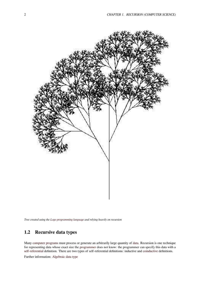

*Tree created using the Logo programming language and relying heavily on recursion*

# **1.2 Recurs[ive data types](https://en.wikipedia.org/wiki/Logo_(programming_language))**

<span id="page-5-0"></span>Many computer programs must process or generate an arbitrarily large quantity of data. Recursion is one technique for representing data whose exact size the programmer does not know: the programmer can specify this data with a self-referential definition. There are two types of self-referential definitions: inductive and coinductive definitions.

Furth[er information:](https://en.wikipedia.org/wiki/Computer_program) Algebraic data type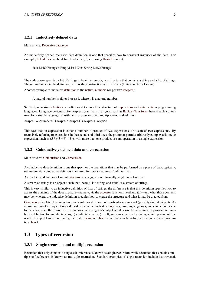## **1.2.1 Inductively defined data**

#### Main article: Recursive data type

<span id="page-6-0"></span>An inductively defined recursive data definition is one that specifies how to construct instances of the data. For example, linked lists [can be define](https://en.wikipedia.org/wiki/Recursive_data_type)d inductively (here, using Haskell syntax):

data ListOfStrings = EmptyList | Cons String ListOfStrings

The code above specifies a list of strings to be either empty, or a structure that contains a string and a list of strings. The self-reference in the definition permits the construction of lists of any (finite) number of strings.

Another example of inductive definition is the natural numbers (or positive integers):

A natural number is either 1 or n+1, where n is a natural number.

Similarly recursive definitions [are often](https://en.wikipedia.org/wiki/Definition) usedt[o model the stru](https://en.wikipedia.org/wiki/Natural_numbers)cture of exp[ressions](https://en.wikipedia.org/wiki/Integers) and statements in programming languages. Language designers often express grammars in a syntax such as Backus-Naur form; here is such a grammar, for a simple language of arithmetic expressions with multiplication and addition:

 $\langle \text{expr} \rangle ::= \langle \text{number} \rangle$  |  $(\langle \text{expr} \rangle * \langle \text{expr} \rangle)$  |  $(\langle \text{expr} \rangle + \langle \text{expr} \rangle)$ 

This says that an expression is either a number, a product of two expres[sions, or a sum of](https://en.wikipedia.org/wiki/Backus-Naur_form) two expressions. By recursively referring to expressions in the second and third lines, the grammar permits arbitrarily complex arithmetic expressions such as  $(5*(3*6)+8)$ , with more than one product or sum operation in a single expression.

## **1.2.2 Coinductively defined data and corecursion**

Main articles: Coinduction and Corecursion

<span id="page-6-1"></span>A coinductive data definition is one that specifies the operations that may be performed on a piece of data; typically, self-referentia[l coinductive](https://en.wikipedia.org/wiki/Coinduction) defi[nitions are us](https://en.wikipedia.org/wiki/Corecursion)ed for data structures of infinite size.

A coinductive definition of infinite streams of strings, given informally, might look like this:

A stream of strings is an object s such that: head(s) is a string, and tail(s) is a stream of strings.

This is very similar to an inductive definition of lists of strings; the difference is that this definition specifies how to access the contents of the data stru[cture—n](https://en.wikipedia.org/wiki/Stream_(computer_science))amely, via the accessor functions head and tail—and what those contents may be, whereas the inductive definition specifies how to create the structure and what it may be created from.

Corecursion is related to coinduction, and can be used to compute particular instances of (possibly) infinite objects. As a programming technique, it is used most often in the context of lazy programming languages, and can be preferable to recursion when the desired size or precision of a progra[m's outpu](https://en.wikipedia.org/wiki/Accessor)t is unknown. In such cases the program requires both a definition for an infinitely large (or infinitely precise) result, and a mechanism for taking a finite portion of that [result. The p](https://en.wikipedia.org/wiki/Corecursion)roblem of computing the first n prime numbers is one that can be solved with a corecursive program (e.g. here).

# **1.3 [T](https://en.wikipedia.org/wiki/Fold_(higher-order_function)#Examples)ypes of recursion**

### <span id="page-6-2"></span>**1.3.1 Single recursion and multiple recursion**

<span id="page-6-3"></span>Recursion that only contains a single self-reference is known as **single recursion**, while recursion that contains multiple self-references is known as **multiple recursion**. Standard examples of single recursion include list traversal,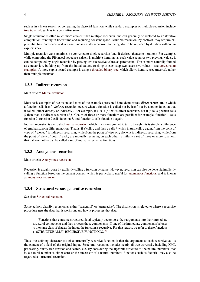such as in a linear search, or computing the factorial function, while standard examples of multiple recursion include tree traversal, such as in a depth-first search.

Single recursion is often much more efficient than multiple recursion, and can generally be replaced by an iterative computation, running in linear time and requiring constant space. Multiple recursion, by contrast, may require exponential time and space, and is more fundamentally recursive, not being able to be replaced by iteration without an [explicit stack](https://en.wikipedia.org/wiki/Tree_traversal).

Multiple recursion can sometimes be converted to single recursion (and, if desired, thence to iteration). For example, while computing the Fibonacci sequence naively is multiple iteration, as each value requires two previous values, it can be computed by single recursion by passing two successive values as parameters. This is more naturally framed as corecursion, building up from the initial values, tracking at each step two successive values – see corecursion: examples. A more sophisticated example is using a threaded binary tree, which allows iterative tree traversal, rather than multiple recursion.

## **[1.3.2 I](https://en.wikipedia.org/wiki/Corecursion#Examples)ndirect recursion**

Main article: Mutual recursion

<span id="page-7-0"></span>Most basic examples of recursion, and most of the examples presented here, demonstrate *direct* **recursion**, in which a function calls itself. *Indirect* recursion occurs when a function is called not by itself but by another function that it called (eith[er directly or indi](https://en.wikipedia.org/wiki/Mutual_recursion)rectly). For example, if *f* calls *f,* that is direct recursion, but if *f* calls *g* which calls *f,* then that is indirect recursion of *f.* Chains of three or more functions are possible; for example, function 1 calls function 2, function 2 calls function 3, and function 3 calls function 1 again.

Indirect recursion is also called mutual recursion, which is a more symmetric term, though this is simply a difference of emphasis, not a different notion. That is, if *f* calls *g* and then *g* calls *f,* which in turn calls *g* again, from the point of view of *f* alone, *f* is indirectly recursing, while from the point of view of *g* alone, it is indirectly recursing, while from the point of view of both, *f* and *g* are mutually recursing on each other. Similarly a set of three or more functions that call each other can be calle[d a set of mutual](https://en.wikipedia.org/wiki/Mutual_recursion)ly recursive functions.

## **1.3.3 Anonymous recursion**

Main article: Anonymous recursion

<span id="page-7-1"></span>Recursion is usually done by explicitly calling a function by name. However, recursion can also be done via implicitly calling a function based on the current context, which is particularly useful for anonymous functions, and is known as anonymou[s recursion.](https://en.wikipedia.org/wiki/Anonymous_recursion)

## **1.3.4 Structural versus generative recursion**

See also: [Structural recu](https://en.wikipedia.org/wiki/Anonymous_recursion)rsion

<span id="page-7-2"></span>Some authors classify recursion as either "structural" or "generative". The distinction is related to where a recursive procedur[e gets the data that it](https://en.wikipedia.org/wiki/Structural_recursion) works on, and how it processes that data:

[Functions that consume structured data] typically decompose their arguments into their immediate structural components and then process those components. If one of the immediate components belongs to the same class of data as the input, the function is recursive. For that reason, we refer to these functions as (STRUCTURALLY) RECURSIVE FUNCTIONS.<sup>[4]</sup>

Thus, the defining characteristic of a structurally recursive function is that the argument to each recursive call is the content of a field of the original input. Structural recursion includes nearly all tree traversals, including XML processing, binary tree creation and search, etc. By consider[ing](https://en.wikipedia.org/wiki/Recursion_(computer_science)#cite_note-Felleisen_HtDP_2001-4) the algebraic structure of the natural numbers (that is, a natural number is either zero or the successor of a natural number), functions such as factorial may also be regarded as structural recursion.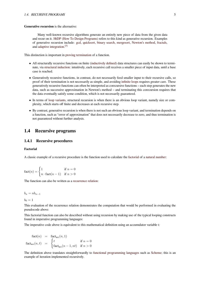**Generative recursion** is the alternative:

Many well-known recursive algorithms generate an entirely new piece of data from the given data and recur on it. HtDP (How To Design Programs) refers to this kind as generative recursion. Examples of generative recursion include: gcd, quicksort, binary search, mergesort, Newton's method, fractals, and adaptive integration. [5]

This distinction is important in [proving termination](https://en.wikipedia.org/wiki/How_to_design_programs) of a function.

- All [structurally recursive](https://en.wikipedia.org/wiki/Adaptive_quadrature) [fu](https://en.wikipedia.org/wiki/Recursion_(computer_science)#cite_note-Felleisen_2002_108-5)nctions on finite (inductively defined) data structures can easily be shown to terminate, via structural induction: intuitively, each recursive call receives a smaller piece of input data, until a base case is reached.
- Generatively recursive functions, in contrast, do not necessarily feed smaller input to their recursive calls, so proof of their termination is not necessarily [as simple, and avoid](https://en.wikipedia.org/wiki/Recursive_data_type)ing infinite loops requires greater care. These generati[vely recursive functio](https://en.wikipedia.org/wiki/Structural_induction)ns can often be interpreted as corecursive functions – each step generates the new data, such as successive approximation in Newton's method – and terminating this corecursion requires that the data eventually satisfy some condition, which is not necessarily guaranteed.
- In terms of loop variants, structural recursion is when there is an [obvious loop v](https://en.wikipedia.org/wiki/Infinite_loops)ariant, namely size or complexity, which starts off finite and decreases at each recursive step.
- By contrast, generative recursion is when there is not such an obvious loop variant, and termination depends on a function, such as "error of approximation" that does not necessarily decrease to zero, and thus termination is not guarant[eed without fu](https://en.wikipedia.org/wiki/Loop_variant)rther analysis.

## **1.4 Recursive programs**

#### <span id="page-8-0"></span>**1.4.1 Recursive procedures**

#### **Factorial**

<span id="page-8-1"></span>A classic example of a recursive procedure is the function used to calculate the factorial of a natural number:

$$
fact(n) = \begin{cases} 1 & \text{if } n = 0 \\ n \cdot fact(n - 1) & \text{if } n > 0 \end{cases}
$$

The function can also be written as a recurrence relation:

$$
b_n = nb_{n-1}
$$

 $b_0 = 1$ 

This evaluation of the recurrence relation demonstrates the computation that would be performed in evaluating the pseudocode above:

This factorial function can also be described without using recursion by making use of the typical looping constructs found in imperative programming languages:

The imperative code above is equivalent to this mathematical definition using an accumulator variable t*:*

$$
\begin{array}{rcl} \mathrm{fact}(n) & = & \mathrm{fact}_{\mathrm{acc}}(n,1) \\ \mathrm{fact}_{\mathrm{acc}}(n,t) & = & \left\{ \begin{aligned} t & \quad \text{if } n=0 \\ \mathrm{fact}_{\mathrm{acc}}(n-1,nt) & \quad \text{if } n>0 \end{aligned} \right. \end{array}
$$

The definition above translates straightforwardly to functional programming languages such as Scheme; this is an example of iteration implemented recursively.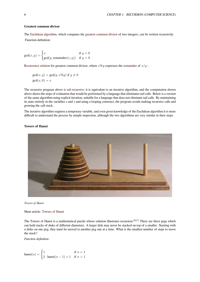#### **Greatest common divisor**

The Euclidean algorithm, which computes the greatest common divisor of two integers, can be written recursively. Function definition*:*

$$
gcd(x, y) = \begin{cases} x & \text{if } y = 0\\ gcd(y, remainder(x, y)) & \text{if } y > 0 \end{cases}
$$

Recurrence relation for greatest common divisor, where  $x\%y$  expresses the remainder of  $x/y$ :

$$
gcd(x, y) = gcd(y, x\%y) \text{ if } y \neq 0
$$
  

$$
gcd(x, 0) = x
$$

The recursive program above is tail-recursive; it is equivalent to an iterative algorithm, and the computation shown above shows the steps of evaluation that would be performed by a language that eliminates tail calls. Below is a version of the same algorithm using explicit iteration, suitable for a language that does not eliminate tail calls. By maintaining its state entirely in the variables *x* and *y* and using a looping construct, the program avoids making recursive calls and growing the call stack.

The iterative algorithm requires a temporary variable, and even given knowledge of the Euclidean algorithm it is more difficult to understand the process by simple inspection, although the two algorithms are very similar in their steps.

#### **Towers of Hanoi**



*Towers of Hanoi*

Main article: Towers of Hanoi

The Towers of Hanoi is a mathematical puzzle whose solution illustrates recursion.<sup>[6][7]</sup> There are three pegs which can hold stacks of disks of different diameters. A larger disk may never be stacked on top of a smaller. Starting with *n* disks on on[e peg, they must b](https://en.wikipedia.org/wiki/Towers_of_Hanoi)e moved to another peg one at a time. What is the smallest number of steps to move the stack?

*Function definition*:

$$
\text{hanoi}(n) = \begin{cases} 1 & \text{if } n = 1 \\ 2 \cdot \text{hanoi}(n-1) + 1 & \text{if } n > 1 \end{cases}
$$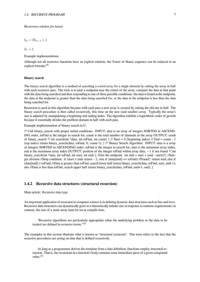$$
h_n = 2h_{n-1} + 1
$$

$$
h_1=1
$$

Example implementations:

Although not all recursive functions have an explicit solution, the Tower of Hanoi sequence can be reduced to an explicit formula.<sup>[8]</sup>

#### **Binary search**

The binary search algorithm is a method of searching a sorted array for a single element by cutting the array in half with each recursive pass. The trick is to pick a midpoint near the center of the array, compare the data at that point with the data being searched and then responding to one of three possible conditions: the data is found at the midpoint, the data at the midpoint is greater than the data being searched for, or the data at the midpoint is less than the data bein[g searched for](https://en.wikipedia.org/wiki/Binary_search).

Recursion is used in this algorithm because with each pass a new array is created by cutting the old one in half. The binary search procedure is then called recursively, this time on the new (and smaller) array. Typically the array's size is adjusted by manipulating a beginning and ending index. The algorithm exhibits a logarithmic order of growth because it essentially divides the problem domain in half with each pass.

Example implementation of binary search in C:

/\* Call binary\_search with proper initial conditions. INPUT: data is an array of integers SORTED in ASCEND-ING order, toFind is the integer to search for, count is the total number of elements in the array OUTPUT: result of binary\_search \*/ int search(int \*data, int toFind, int count) {  $\frac{1}{3}$  Start = 0 (beginning index)  $\frac{1}{1}$  End = count - 1 (top index) return binary\_search(data, toFind, 0, count-1); } /\* Binary Search Algorithm. INPUT: data is a array of integers SORTED in ASCENDING order, toFind is the integer to search for, start is the minimum array index, end is the maximum array index OUTPUT: position of the integer toFind within array data, *−*1 if not found \*/ int binary search(int \*data, int toFind, int start, int end) { //Get the midpoint. int mid = start + (end - start)/2; //Integer division //Stop condition. if (start > end) return *−*1; else if (data[mid] == toFind) //Found? return mid; else if (data[mid] > toFind) //Data is greater than toFind, search lower half return binary\_search(data, toFind, start, mid-1); else //Data is less than toFind, search upper half return binary\_search(data, toFind, mid+1, end); }

## **1.4.2 Recursive data structures (structural recursion)**

Main article: Recursive data type

<span id="page-10-0"></span>An important application of recursion in computer science is in defining dynamic data structures such aslists and trees. Recursive data structures can dynamically grow to a theoretically infinite size in response to runtime requirements; in contrast, the [size of a static array](https://en.wikipedia.org/wiki/Recursive_data_type) must be set at compile time.

"Recursive algorithms are particularly appropriate when the underlying problem or the da[ta to](https://en.wikipedia.org/wiki/List_(abstract_data_type)) be treated are defined in recursive terms."<sup>[9]</sup>

The examples in this section illustrate what is known as "structural recursion". This term refers to the fact that the recursive procedures are acting on data thati[s d](https://en.wikipedia.org/wiki/Recursion_(computer_science)#cite_note-9)efined recursively.

As long as a programmer derives the template from a data definition, functions employ structural recursion. That is, the recursions in a function's body consume some immediate piece of a given compound value.[5]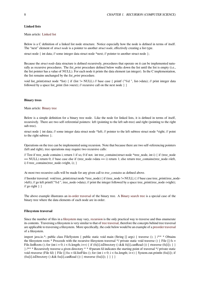#### **Linked lists**

Main article: Linked list

Below is a C definition of a linked list node structure. Notice especially how the node is defined in terms of itself. The "next" element of *struct node* is a pointer to another *struct node*, effectively creating a list type.

struct node { [int data; //](https://en.wikipedia.org/wiki/Linked_list) some integer data struct node \*next; // pointer to another struct node };

Because the *struct node* data structure is defined recursively, procedures that operate on it can be implemented naturally as recursive procedures. The *list\_print* procedure defined below walks down the list until the list is empty (i.e., the list pointer has a value of NULL). For each node it prints the data element (an integer). In the C implementation, the list remains unchanged by the *list\_print* procedure.

void list\_print(struct node \*list) { if (list != NULL) // base case { printf ("%d ", list->data); // print integer data followed by a space list\_print (list->next); // recursive call on the next node  $\}$  }

#### **Binary trees**

Main article: Binary tree

Below is a simple definition for a binary tree node. Like the node for linked lists, it is defined in terms of itself, recursively. [There are tw](https://en.wikipedia.org/wiki/Binary_tree)o self-referential pointers: left (pointing to the left sub-tree) and right (pointing to the right sub-tree).

struct node { int data; // some integer data struct node \*left; // pointer to the left subtree struct node \*right; // point to the right subtree };

Operations on the tree can be implemented using recursion. Note that because there are two self-referencing pointers (left and right), tree operations may require two recursive calls:

// Test if tree\_node contains i; return 1 if so, 0 if not. int tree\_contains(struct node \*tree\_node, int i) { if (tree\_node  $=$  NULL) return 0; // base case else if (tree\_node->data  $=$  i) return 1; else return tree\_contains(tree\_node->left, i) || tree\_contains(tree\_node->right, i); }

At most two recursive calls will be made for any given call to *tree\_contains* as defined above.

// Inorder traversal: void tree\_print(struct node \*tree\_node) { if (tree\_node != NULL) { // base case tree\_print(tree\_node- >left); // go left printf("%d ", tree\_node->data); // print the integer followed by a space tree\_print(tree\_node->right); // go right  $\}$  }

The above example illustrates an in-order traversal of the binary tree. A Binary search tree is a special case of the binary tree where the data elements of each node are in order.

#### **Filesystem traversal**

Since the number of files in a filesystem may vary, recursion is the only practical way to traverse and thus enumerate its contents. Traversing a filesystem is very similar to that of tree traversal, therefore the concepts behind tree traversal are applicable to traversing a filesystem. More specifically, the code below would be an example of a preorder traversal of a filesystem.

import java.io.\*; public class [FileSyste](https://en.wikipedia.org/wiki/Filesystem)m { publi[c static vo](https://en.wikipedia.org/wiki/Recursion)id main (String [] args) { traverse (); } /\*\* \* Obtains the filesystem roots \* Proceeds with the recursive filesyste[m traversal \\*/](https://en.wikipedia.org/wiki/Tree_traversal) private static void traverse () { File  $[]$  fs = File.listRoots (); for (int i = 0; i < fs.length; i++) { if (fs[i].isDirectory () && fs[i].canRead ()) { rt[raverse \(fs\[i\]\); } }](https://en.wikipedia.org/wiki/Preorder_traversal) } /\*\* \* Recursively traverse a given directory \* \* @param fd indicates the starting point of traversal \*/ private static void rtraverse (File fd) { File [] fss = fd.listFiles (); for (int  $i = 0$ ;  $i <$  fss.length;  $i++)$  { System.out.println (fss[i]); if  $(fss[i].isDirectory () \&\&fssj[i].canRead()) { traverse (fssj[i]); } }$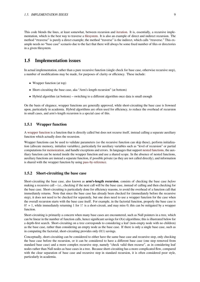This code blends the lines, at least somewhat, between recursion and iteration. It is, essentially, a recursive implementation, which is the best way to traverse a filesystem. It is also an example of direct and indirect recursion. The method "rtraverse" is purely a direct example; the method "traverse" is the indirect, which calls "rtraverse." This example needs no "base case" scenario due to the fact that there will always be some fixed number of files or directories in a given filesystem.

# **1.5 Implementation issues**

<span id="page-12-0"></span>In actual implementation, rather than a pure recursive function (single check for base case, otherwise recursive step), a number of modifications may be made, for purposes of clarity or efficiency. These include:

- *•* Wrapper function (at top)
- Short-circuiting the base case, aka "Arm's-length recursion" (at bottom)
- Hybrid algorithm (at bottom) switching to a different algorithm once data is small enough

On the basis of elegance, wrapper functions are generally approved, while short-circuiting the base case is frowned upon, particularly in academia. Hybrid algorithms are often used for efficiency, to reduce the overhead of recursion in small cases, and arm's-length recursion is a special case of this.

## **1.5.1 Wrapper function**

A wrapper function is a function that is directly called but does not recurse itself, instead calling a separate auxiliary function which actually does the recursion.

<span id="page-12-1"></span>Wrapper functions can be used to validate parameters (so the recursive function can skip these), perform initialization (allocate memory, initialize variables), particularly for auxiliary variables such as "level of recursion" or partial co[mputations for](https://en.wikipedia.org/wiki/Wrapper_function) memoization, and handle exceptions and errors. In languages that support nested functions, the auxiliary function can be nested inside the wrapper function and use a shared scope. In the absence of nested functions, auxiliary functions are instead a separate function, if possible private (as they are not called directly), and information is shared with the wrapper function by using pass-by-reference.

## **1.5.2 Short-circuiting the base case**

<span id="page-12-2"></span>Short-circuiting the base case, also known as **[arm's-length r](https://en.wikipedia.org/wiki/Pass-by-reference)ecursion**, consists of checking the base case *before* making a recursive call – i.e., checking if the next call will be the base case, instead of calling and then checking for the base case. Short-circuiting is particularly done for efficiency reasons, to avoid the overhead of a function call that immediately returns. Note that since the base case has already been checked for (immediately before the recursive step), it does not need to be checked for separately, but one does need to use a wrapper function for the case when the overall recursion starts with the base case itself. For example, in the factorial function, properly the base case is  $0! = 1$ , while immediately returning 1 for 1! is a short-circuit, and may miss 0; this can be mitigated by a wrapper function.

Short-circuiting is primarily a concern when many base cases are encountered, such as Null pointers in a tree, which can be linear in the number of function calls, hence significant savings for  $O(n)$  algorithms; this is illustrated below for a depth-first search. Short-circuiting on a tree corresponds to considering a leaf (non-empty node with no children) as the base case, rather than considering an empty node as the base case. If there is only a single base case, such as in computing the factorial, short-circuiting provides only  $O(1)$  savings.

Conceptually, short-circuiting can be considered to either have the same base case and recursive step, only checking the base case before the recursion, or it can be considered to have a different base case (one step removed from standard base case) and a more complex recursive step, namely "check valid then recurse", as in considering leaf nodes rather than Null nodes as base cases in a tree. Because short-circuiting has a more complicated flow, compared with the clear separation of base case and recursive step in standard recursion, it is often considered poor style, particularly in academia.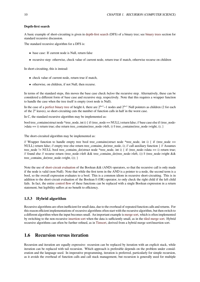#### **Depth-first search**

A basic example of short-circuiting is given in depth-first search (DFS) of a binary tree; see binary trees section for standard recursive discussion.

The standard recursive algorithm for a DFS is:

- *•* base case: If current node is Null, retur[n false](https://en.wikipedia.org/wiki/Depth-first_search)
- recursive step: otherwise, check value of current node, return true if match, otherwise recurse on children

In short-circuiting, this is instead:

- *•* check value of current node, return true if match,
- otherwise, on children, if not Null, then recurse.

In terms of the standard steps, this moves the base case check *before* the recursive step. Alternatively, these can be considered a different form of base case and recursive step, respectively. Note that this requires a wrapper function to handle the case when the tree itself is empty (root node is Null).

In the case of a perfect binary tree of height *h*, there are  $2^{h+1}-1$  nodes and  $2^{h+1}$  Null pointers as children (2 for each of the  $2<sup>h</sup>$  leaves), so short-circuiting cuts the number of function calls in half in the worst case.

In C, the standard recursive algorithm may be implemented as:

bool tree\_conta[ins\(struct node \\*tree](https://en.wikipedia.org/wiki/Perfect_binary_tree)\_node, int i) { if (tree\_node == NULL) return false; // base case else if (tree\_node-  $\text{Total} = i$ ) return true; else return tree\_contains(tree\_node->left, i) || tree\_contains(tree\_node->right, i); }

The short-circuited algorithm may be implemented as:

// Wrapper function to handle empty tree bool tree\_contains(struct node \*tree\_node, int i) { if (tree\_node == NULL) return false; // empty tree else return tree\_contains\_do(tree\_node, i); // call auxiliary function } // Assumes tree node != NULL bool tree contains  $d$ o(struct node \*tree node, int i) { if (tree node- $>d$ ata == i) return true; // found else // recurse return (tree node->left && tree contains  $\text{do}($ tree node->left, i)) || (tree node->right && tree\_contains\_do(tree\_node->right, i)); }

Note the use of short-circuit evaluation of the Boolean  $&\&$  (AND) operators, so that the recursive call is only made if the node is valid (non-Null). Note that while the first term in the AND is a pointer to a node, the second term is a bool, so the overall expression evaluates to a bool. This is a common idiom in recursive short-circuiting. This is in addition to the short-circuit evaluation of the Boolean  $\parallel$  (OR) operator, to only check the right child if the left child fails. In fact, the entire [control flow](https://en.wikipedia.org/wiki/Short-circuit_evaluation) of these functions can be replaced with a single Boolean expression in a return statement, but legibility suffers at no benefit to efficiency.

## **1.5.3 Hybrid alg[orithm](https://en.wikipedia.org/wiki/Control_flow)**

<span id="page-13-0"></span>Recursive algorithms are often inefficient for small data, due to the overhead of repeated function calls and returns. For this reason efficient implementations of recursive algorithms often start with the recursive algorithm, but then switch to a different algorithm when the input becomes small. An important example is merge sort, which is often implemented by switching to the non-recursive insertion sort when the data is sufficiently small, as in the tiled merge sort. Hybrid recursive algorithms can often be further refined, as in Timsort, derived from a hybrid merge sort/insertion sort.

# **1.6 Recursion versu[s iteratio](https://en.wikipedia.org/wiki/Insertion_sort)n**

<span id="page-13-1"></span>Recursion and iteration are equally expressive: recursion can be replaced by iteration with an explicit stack, while iteration can be replaced with tail recursion. Which approach is preferable depends on the problem under consideration and the language used. In imperative programming, iteration is preferred, particularly for simple recursion, as it avoids the overhead of function calls and call stack management, but recursion is generally used for multiple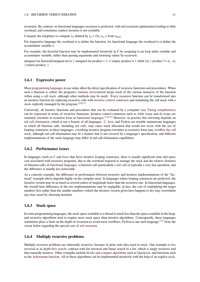recursion. By contrast, in functional languages recursion is preferred, with tail recursion optimization leading to little overhead, and sometimes explicit iteration is not available.

Compare the templates to compute  $x_n$  defined by  $x_n = f(n, x_{n-1})$  from  $x_{base}$ .

For imperative language the overhead is to define the function, for functional language the overhead is to define the accumulator variable x.

For example, the factorial function may be implemented iteratively in C by assigning to an loop index variable and accumulator variable, rather than passing arguments and returning values by recursion:

unsigned int factorial(unsigned int n) { unsigned int product = 1; // empty product is 1 while (n) { product  $* = n$ ; --n; } return product; }

### **1.6.1 Expressive power**

<span id="page-14-0"></span>Most programming languages in use today allow the direct specification of recursive functions and procedures. When such a function is called, the program's runtime environment keeps track of the various instances of the function (often using a call stack, although other methods may be used). Every recursive function can be transformed into an iterative function by replacing recursive calls with iterative control constructs and simulating the call stack with a stack [explicitly managed by th](https://en.wikipedia.org/wiki/Programming_language)e program.  $[10][11]$ 

Conversely, all iterative functions and p[rocedures that can be](https://en.wikipedia.org/wiki/Runtime_environment) evaluated by a computer (see Turing completeness) can be express[ed in term](https://en.wikipedia.org/wiki/Call_stack)s of recursive functions; iterative control constructs such as while loops and do loops are routinely rewritten in recursive form in [func](https://en.wikipedia.org/wiki/Recursion_(computer_science)#cite_note-10)[tio](https://en.wikipedia.org/wiki/Recursion_(computer_science)#cite_note-11)nal languages.<sup>[12][13]</sup> [However, in](https://en.wikipedia.org/wiki/Control_operator#Loops) practice this rewriting depends on [tail ca](https://en.wikipedia.org/wiki/Stack_(data_structure))ll elimination, which is not a feature of all languages. C, Java, and Python are notable mainstream languages in which all function calls, including tail calls, may cause stack allocation that would not [occur with the use of](https://en.wikipedia.org/wiki/Turing_completeness) looping constructs; in these languages, a working iterative program rewritten in recursi[ve form may](https://en.wikipedia.org/wiki/While_loop) ove[rflow the](https://en.wikipedia.org/wiki/Do_loop) call stack, although tail call elimination may [be a feature that is](https://en.wikipedia.org/wiki/Functional_language) [not](https://en.wikipedia.org/wiki/Recursion_(computer_science)#cite_note-12) [cov](https://en.wikipedia.org/wiki/Recursion_(computer_science)#cite_note-13)ered by a language's specification, and different [implementations of](https://en.wikipedia.org/wiki/Tail_call_elimination) the same language may differ in tail call [eli](https://en.wikipedia.org/wiki/C_(programming_language))[minat](https://en.wikipedia.org/wiki/Java_(programming_language))ionc[apabiliti](https://en.wikipedia.org/wiki/Python_(programming_language))es.

#### **[1.6.2](https://en.wikipedia.org/wiki/Stack_overflow) Performance issues**

<span id="page-14-1"></span>In languages (such as C and Java) that favor iterative looping constructs, there is usually significant time and space cost associated with recursive programs, due to the overhead required to manage the stack and the relative slowness of function calls; in functional languages, a function call (particularly a tail call) is typically a very fast operation, and the difference is usually less noticeable.

As a concrete exampl[e,](https://en.wikipedia.org/wiki/C_(programming_language)) the [differ](https://en.wikipedia.org/wiki/Java_(programming_language))ence in performance between recursive and iterative implementations of the "factorial" example above depends highly on the compiler used. In languages where looping constructs are preferred, the iterative version ma[y be as much as sever](https://en.wikipedia.org/wiki/Functional_languages)al orders of magnitude fastert[han the r](https://en.wikipedia.org/wiki/Tail_call)ecursive one. In functional languages, the overall time difference of the two implementations may be negligible; in fact, the cost of multiplying the larger numbers first rather than the smaller numbers (which the iterative version given here happens to do) may overwhelm any time saved by choosing iteration.

#### **1.6.3 Stack space**

<span id="page-14-2"></span>In some programming languages, the stack space available to a thread is much less than the space available in the heap, and recursive algorithms tend to require more stack space than iterative algorithms. Consequently, these languages sometimes place a limit on the depth of recursion to avoid stack overflows; Python is one such language.<sup>[14]</sup> Note the caveat below regarding the special case of tail recursion.

#### **1.6.4 Multiply recursive problems**

<span id="page-14-3"></span>Multiply recursive problems are inherentl[y recursive, be](https://en.wikipedia.org/wiki/Tail_recursion)cause of prior state they need to track. One example is tree traversal as in depth-first search; contrast with list traversal and linear search in a list, which is singly recursive and thus naturally iterative. Other examples include divide-and-conquer algorithms such as Quicksort, and functions such as the Ackermann function. All of these algorithms can be implemented iteratively with the help of an explicit stack,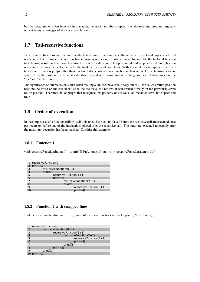but the programmer effort involved in managing the stack, and the complexity of the resulting program, arguably outweigh any advantages of the iterative solution.

# **1.7 Tail-recursive functions**

<span id="page-15-0"></span>Tail-recursive functions are functions in which all recursive calls are tail calls and hence do not build up any deferred operations. For example, the gcd function (shown again below) is tail-recursive. In contrast, the factorial function (also below) is **not** tail-recursive; because its recursive call is not in tail position, it builds up deferred multiplication operations that must be performed after the final recursive call completes. With a compiler or interpreter that treats tail-recursive calls as jumps rather than function calls, a tail-recursiv[e function](https://en.wikipedia.org/wiki/Tail_call) such as gcd will execute using constant space. Thus the program is essentially iterative, equivalent to using imperative language control structures like the "for" and "while" loops.

The significance of tail recursion is that when making a tail-recursive call (or any t[ail call\), th](https://en.wikipedia.org/wiki/Compiler)e [caller's retur](https://en.wikipedia.org/wiki/Interpreter)n position need not be saved o[n the](https://en.wikipedia.org/wiki/Goto) call stack; when the recursive call returns, it will branch directly on the previously saved return position. Therefore, in languages that recognize this property of tail calls, tail recursion saves both space and time.

# **1.8 Order of execution**

<span id="page-15-1"></span>In the simple case of a function calling itself only once, instructions placed before the recursive call are executed once per recursion before any of the instructions placed after the recursive call. The latter are executed repeatedly after the maximum recursion has been reached. Consider this example:

### **1.8.1 Function 1**

<span id="page-15-2"></span>void recursiveFunction(int num) { printf("%d\n", num); if (num < 4) recursiveFunction(num + 1); }

|    | recursiveFunction(0) |
|----|----------------------|
|    | print(0)             |
| 3  | $recursion(0+1)$     |
|    | print(1)             |
|    | $recursion(1+1)$     |
|    | printf(2)            |
|    | $recursion(2+1)$     |
|    | printf(3)            |
| 9  | $recursion(3+1)$     |
| 10 | print(4)             |

### **1.8.2 Function 2 with swapped lines**

<span id="page-15-3"></span>void recursiveFunction(int num) { if (num < 4) recursiveFunction(num + 1); printf("%d\n", num); }

|   | recursiveFunction(0)       |
|---|----------------------------|
|   | $recursion(0+1)$           |
| З | $recursion(1+1)$           |
|   | $recursivelyFunction(2+1)$ |
| 5 | $recursion(3+1)$           |
| 6 | print(4)                   |
|   | print(3)                   |
| 8 | printf(2)                  |
| 9 | print(1)                   |
|   | printf(0)                  |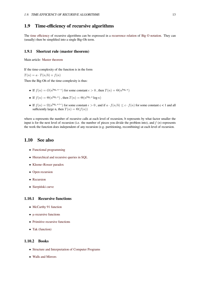# **1.9 Time-efficiency of recursive algorithms**

<span id="page-16-0"></span>The time efficiency of recursive algorithms can be expressed in a recurrence relation of Big O notation. They can (usually) then be simplified into a single Big-Oh term.

### **1.9.[1 Shortcut](https://en.wikipedia.org/wiki/Time_complexity) rule (master theorem)**

Main article: Master theorem

<span id="page-16-1"></span>If the time-complexity of the function is in the form

 $T(n) = a \cdot T(n/b) + f(n)$  $T(n) = a \cdot T(n/b) + f(n)$  $T(n) = a \cdot T(n/b) + f(n)$ 

Then the Big-Oh of the time-complexity is thus:

- If  $f(n) = O(n^{\log_b a \epsilon})$  for some constant  $\epsilon > 0$ , then  $T(n) = \Theta(n^{\log_b a})$
- If  $f(n) = \Theta(n^{\log_b a})$ , then  $T(n) = \Theta(n^{\log_b a} \log n)$
- If  $f(n) = \Omega(n^{\log_b a + \epsilon})$  for some constant  $\epsilon > 0$ , and if  $a \cdot f(n/b) \le c \cdot f(n)$  for some constant  $c < 1$  and all sufficiently large n, then  $T(n) = \Theta(f(n))$

where a represents the number of recursive calls at each level of recursion, b represents by what factor smaller the input is for the next level of recursion (i.e. the number of pieces you divide the problem into), and *f* (*n*) represents the work the function does independent of any recursion (e.g. partitioning, recombining) at each level of recursion.

## **1.10 See also**

- <span id="page-16-2"></span>*•* Functional programming
- *•* Hierarchical and recursive queries in SQL
- *•* [Kleene–Rosser paradox](https://en.wikipedia.org/wiki/Functional_programming)
- *•* [Open recursion](https://en.wikipedia.org/wiki/Hierarchical_and_recursive_queries_in_SQL)
- *•* [Recursion](https://en.wikipedia.org/wiki/Kleene%E2%80%93Rosser_paradox)
- *•* [Sierpiński curve](https://en.wikipedia.org/wiki/Open_recursion)

#### **1.10.[1 Recu](https://en.wikipedia.org/wiki/Recursion)rsive functions**

- McCarthy 91 function
- *•* μ-recursive functions
- [Primitive recursive fun](https://en.wikipedia.org/wiki/McCarthy_91_function)ctions
- [Tak \(function\)](https://en.wikipedia.org/wiki/%CE%9C-recursive_function)

#### **1.10.[2 Books](https://en.wikipedia.org/wiki/Primitive_recursive_function)**

- *•* [Structure and I](https://en.wikipedia.org/wiki/Tak_(function))nterpretation of Computer Programs
- *•* Walls and Mirrors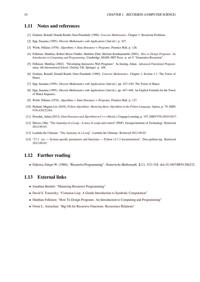# **1.11 Notes and references**

- [1] Graham, Ronald; Donald Knuth; Oren Patashnik (1990). *Concrete Mathematics*. Chapter 1: Recurrent Problems.
- [2] Epp, Susanna (1995). *Discrete Mathematics with Applications* (2nd ed.). p. 427.
- [3] Wirth, Niklaus (1976). *Algorithms + Data Structures = Programs*. Prentice-Hall. p. 126.
- [4] Felleisen, Matthias; Robert Bruce Findler; Matthew Flatt[; Shriram Krishnamur](http://www-cs-faculty.stanford.edu/~knuth/gkp.html)thi (2001). *How to Design Programs: An Introduction to Computing and Programming*. Cambridge, MASS: MIT Press. p. art V "Generative Recursion".
- [5] Felleisen, Matthias (2002). "Developing Interactive Web Programs". In Jeuring, Johan. *Advanced Functional Programming: 4th International School*. Oxford, UK: Springer. p. 108.
- [6] [Graham, Ronald; Donald Knuth; Oren Patas](http://www.htdp.org/2003-09-26/Book/curriculum-Z-H-31.html)hnik (1990). *Concrete Mathematics*. Chapter 1, Section 1.1: The Tower of Hanoi.
- [7] Epp, Susanna (1995). *Discrete Mathematics with Applications* (2nd ed.). pp. 427–430: The Tower of Hanoi.
- [8] Epp, Susanna (1995). *Discrete Mathematics with Applications* [\(2nd ed.\). pp. 447–](http://www-cs-faculty.stanford.edu/~knuth/gkp.html)448: An Explicit Formula for the Tower of Hanoi Sequence.
- [9] Wirth, Niklaus (1976). *Algorithms + Data Structures = Programs*. Prentice-Hall. p. 127.
- [10] Hetland, Magnus Lie (2010), *Python Algorithms: Mastering Basic Algorithms in the Python Language*, Apress, p. 79, ISBN 9781430232384.
- [11] Drozdek, Adam (2012), *Data Structures and Algorithms in C++*(4th ed.), Cengage Learning, p. 197, ISBN 9781285415017.
- [12] Shivers, Olin. "The Anatomy [of a Loop A story of scope and control"](https://books.google.com/books?id=4cytGpIPYsAC&pg=PA79) (PDF). Georgia Institute of Technology. Ret[rieved](https://en.wikipedia.org/wiki/International_Standard_Book_Number) [2012-09-03.](https://en.wikipedia.org/wiki/Special:BookSources/9781430232384)
- [13] Lambda the Ultimate. "[The Anatomy of a Loop". Lambda the](https://books.google.com/books?id=PRgLAAAAQBAJ&pg=PA197) Ultimate. Retrieved 2012-09-03.
- [14] "27.1. sys — [System-specific parameters and functions Python v2](http://www.ccs.neu.edu/home/shivers/papers/loop.pdf).7.3 documentation". Docs.python.org. Retrieved 2012-09-03.

# **1.1[2 Further reading](https://docs.python.org/library/sys.html)**

<span id="page-17-0"></span>*•* Dijkstra, Edsger W. (1960). "Recursive Programming". *Numerische Mathematik*. **2** (1): 312–318. doi:10.1007/BF01386232.

# **1.1[3 External li](https://en.wikipedia.org/wiki/Edsger_W._Dijkstra)nks**

- *•* Jonathan Bartlett: "Mastering Recursive Programming"
- <span id="page-17-1"></span>• David S. Touretzky: "Common Lisp: A Gentle Introduction to Symbolic Computation"
- *•* [Matthias Felleisen: "How To Design Programs: An Intro](http://www.ibm.com/developerworks/linux/library/l-recurs/index.html)duction to Computing and Programming"
- *•* [Owen L. Astrachan: "Big-Oh for Recursive Functions: Recurrence Relations"](http://www.cs.cmu.edu/~dst/LispBook/)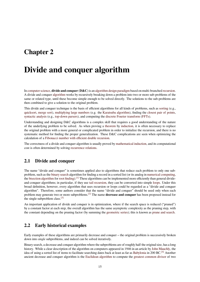# <span id="page-18-0"></span>**Chapter 2**

# **Divide and conquer algorithm**

In computer science, **divide and conquer** (**D&C**) is an algorithm design paradigm based on multi-branched recursion. A divide and conquer algorithm works by recursively breaking down a problem into two or more sub-problems of the same or related type, until these become simple enough to be solved directly. The solutions to the sub-problems are then combined to give a solution to the original problem.

T[his divide and conq](https://en.wikipedia.org/wiki/Computer_science)uer technique is the basis of effic[ient algorithms for all kinds](https://en.wikipedia.org/wiki/Algorithm_design_paradigm) of problems, such as sorting [\(e.g.,](https://en.wikipedia.org/wiki/Recursion) quicksort, merge sort), [multiply](https://en.wikipedia.org/wiki/Algorithm)ing large numbers (e.g. the Karatsuba algorithm), finding the closest pair of points, syntactic analysis (e.g., top-down parsers), and computing the discrete Fourier transform (FFTs).

Understanding and designing D&C algorithms is a complex skill that requires a good understanding of the nature of the underlying problem to be solved. As when proving a theorem by induction, it is often necessa[ry to re](https://en.wikipedia.org/wiki/Sorting_algorithm)place [the origin](https://en.wikipedia.org/wiki/Quicksort)[al problem w](https://en.wikipedia.org/wiki/Merge_sort)i[th a more general or compl](https://en.wikipedia.org/wiki/Multiplication_algorithm)icated pr[oblem in order to init](https://en.wikipedia.org/wiki/Karatsuba_algorithm)ialize the rec[ursion, and there is no](https://en.wikipedia.org/wiki/Closest_pair_of_points_problem) [systematic metho](https://en.wikipedia.org/wiki/Syntactic_analysis)d for [finding the proper](https://en.wikipedia.org/wiki/Top-down_parser) generalization. The[se D&C complications are](https://en.wikipedia.org/wiki/Discrete_Fourier_transform) [seen w](https://en.wikipedia.org/wiki/Fast_Fourier_transform)hen optimizing the calculation of a Fibonacci number with efficient double recursion.

The correctness of a divide and conquer algorithm is usually p[roved by](https://en.wikipedia.org/wiki/Theorem) mat[hematical](https://en.wikipedia.org/wiki/Mathematical_induction) induction, and its computational cost is often determined by solving recurrence relations.

# **2.1 Divide and conq[uer](https://en.wikipedia.org/wiki/Recurrence_relation)**

<span id="page-18-1"></span>The name "divide and conquer" is sometimes applied also to algorithms that reduce each problem to only one subproblem, such as the binary search algorithm for finding a record in a sorted list (or its analog in numerical computing, the bisection algorithm for root finding).<sup>[1]</sup> These algorithms can be implemented more efficiently than general divideand-conquer algorithms; in particular, if they use tail recursion, they can be converted into simple loops. Under this broad definition, however, every algorithm that uses recursion or loops could be regarded as a "divide and conquer algorithm". Therefo[re, some auth](https://en.wikipedia.org/wiki/Binary_search)ors consider that the name "divide and conquer" should be [used only when each](https://en.wikipedia.org/wiki/Numerical_algorithm) pro[blem may generate t](https://en.wikipedia.org/wiki/Bisection_algorithm)wo [or more sub](https://en.wikipedia.org/wiki/Root-finding_algorithm)[pro](https://en.wikipedia.org/wiki/Divide_and_conquer_algorithm#cite_note-CLR-1)blems.[2] The name **decrease and conquer** has been proposed instead for the single-subproblem class.[3]

An important application of divide and conquer is in optimization, where if the search space is reduced ("pruned") by a constant factor at each step, the overall algorithm has the same asymptotic complexity as the pruning step, with the constant depending ont[he](https://en.wikipedia.org/wiki/Divide_and_conquer_algorithm#cite_note-3) pruning factor (by [su](https://en.wikipedia.org/wiki/Divide_and_conquer_algorithm#cite_note-2)mming the geometric series); this is known as prune and search.

# **2.2 Early historical examples**

<span id="page-18-2"></span>Early examples of these algorithms are primarily decrease and conquer – the original problem is successively broken down into *single* subproblems, and indeed can be solved iteratively.

Binary search, a decrease and conquer algorithm where the subproblems are of roughly half the original size, has a long history. While a clear description of the algorithm on computers appeared in 1946 in an article by John Mauchly, the idea of using a sorted list of items to facilitate searching dates back at least as far as Babylonia in 200 BC.<sup>[4]</sup> Another ancient decrease and conquer algorithm is the Euclidean algorithm to compute the greatest common divisor of two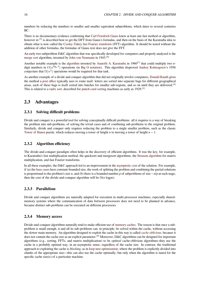numbers by reducing the numbers to smaller and smaller equivalent subproblems, which dates to several centuries BC.

There is no documentary evidence confirming that Carl Friedrich Gauss knew at least one fast method or algorithm, however in <sup>[5]</sup> is described how to get the DFT from Gauss's formulas, and then on the basis of the Karatsuba idea to obtain what is now called the Cooley-Tukey fast Fourier transform (FFT) algorithm. It should be noted without the addition of other formulas, the formulae of Gauss text does not give the FFT.

An early two-subproblem D&C algorithm that was [specifically developed](https://en.wikipedia.org/wiki/Carl_Friedrich_Gauss) for computers and properly analyzed is the merge sort [alg](https://en.wikipedia.org/wiki/Divide_and_conquer_algorithm#cite_note-Heideman84-5)orithm, invented by [John von Neumann](https://en.wikipedia.org/wiki/Cooley-Tukey_FFT_algorithm) in 1945.<sup>[6]</sup>

Another notable example is the algorithm invented by Anatolii A. Karatsuba in 1960<sup>[7]</sup> that could multiply two *n*digit numbers in  $O(n^{\log_2 3})$  operations (in Big O notation). This algorithm disproved Andrey Kolmogorov's 1956 conjecture that  $\Omega(n^2)$  operations would be required for that ta[sk.](https://en.wikipedia.org/wiki/Divide_and_conquer_algorithm#cite_note-6)

[As another](https://en.wikipedia.org/wiki/Merge_sort) example of a divide an[d conquer algorithm](https://en.wikipedia.org/wiki/John_von_Neumann) that did not originally involve computers, Donald Knuth gives the method a post office typicall[y uses to r](https://en.wikipedia.org/wiki/Karatsuba_algorithm)oute mail: l[etters are sorted into se](https://en.wikipedia.org/wiki/Anatolii_Alexeevitch_Karatsuba)parateb[ag](https://en.wikipedia.org/wiki/Divide_and_conquer_algorithm#cite_note-7)s for different geographical areas, each of these bags is itself sorted in[to batches for s](https://en.wikipedia.org/wiki/Big_O_notation)mallersub-regions, and so o[n until they are deliv](https://en.wikipedia.org/wiki/Andrey_Kolmogorov)ered.<sup>[4]</sup> This is related to a radix sort, described for punch-card sorting machines as early as 1929.<sup>[4]</sup>

# **2.3 Advan[tages](https://en.wikipedia.org/wiki/Radix_sort)**

### <span id="page-19-0"></span>**2.3.1 Solving difficult problems**

<span id="page-19-1"></span>Divide and conquer is a powerful tool for solving conceptually difficult problems: all it requires is a way of breaking the problem into sub-problems, of solving the trivial cases and of combining sub-problems to the original problem. Similarly, divide and conquer only requires reducing the problem to a single smaller problem, such as the classic Tower of Hanoi puzzle, which reduces moving a tower of height *n* to moving a tower of height *n* − 1.

## **2.3.2 Algorithm efficiency**

<span id="page-19-2"></span>[The divide-and-](https://en.wikipedia.org/wiki/Tower_of_Hanoi)conquer paradigm often helps in the discovery of efficient algorithms. It was the key, for example, to Karatsuba's fast multiplication method, the quicksort and mergesort algorithms, the Strassen algorithm for matrix multiplication, and fast Fourier transforms.

In all these examples, the D&C approach led to an improvement in the asymptotic cost of the solution. For example, if (a) the base cases have constant-bounded size, the work of splitting the problem and combining the partial solutions is proportional to the problem's size *n*, and (b) there is a bounded number *p* of subproblems of size  $\sim$  *n*/*p* at each stage, then the cost of the divide-and-conquer algorithm will be O(*n* log*pn*).

## **2.3.3 [Parallel](https://en.wikipedia.org/wiki/Recursion_(computer_science))ism**

<span id="page-19-3"></span>Divide and conquer algorithms are naturally adapted for execution in multi-processor machines, especially sharedmemory systems where the communication of data between processors does not need to be planned in advance, because distinct sub-problems can be executed on different processors.

### **2.3.4 Memory access**

<span id="page-19-4"></span>Divide-and-conquer algorithms naturally tend to make efficient use of memory caches. The reason is that once a subproblem is small enough, it and all its sub-problems can, in principle, be solved within the cache, without accessing the slower main memory. An algorithm designed to exploit the cache in this way is called *cache-oblivious*, because it does not contain the cache size as an explicit parameter.[8] Moreover, D&C algorithms can be designed for important algorithms (e.g., sorting, FFTs, and matrix multiplication) to be *optimal* [cache-obli](https://en.wikipedia.org/wiki/Memory_cache)vious algorithms–they use the cache in a probably optimal way, in an asymptotic sense, regardless of the cache size. In contrast, the traditional approach to exploiting the cache is *blocking*, as in loop nest optimization, where the probl[em is explicitly d](https://en.wikipedia.org/wiki/Cache-oblivious_algorithm)ivided into chunks of the appropriate size—this can also use thec[ac](https://en.wikipedia.org/wiki/Divide_and_conquer_algorithm#cite_note-cahob-8)he optimally, but only when the algorithm is tuned for the specific cache size(s) of a particular machine.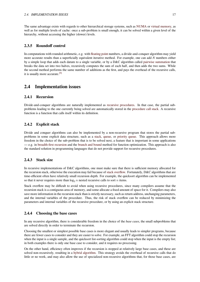The same advantage exists with regards to other hierarchical storage systems, such as NUMA or virtual memory, as well as for multiple levels of cache: once a sub-problem is small enough, it can be solved within a given level of the hierarchy, without accessing the higher (slower) levels.

### **2.3.5 Roundoff control**

<span id="page-20-0"></span>In computations with rounded arithmetic, e.g. with floating point numbers, a divide-and-conquer algorithm may yield more accurate results than a superficially equivalent iterative method. For example, one can add *N* numbers either by a simple loop that adds each datum to a single variable, or by a D&C algorithm called pairwise summation that breaks the data set into two halves, recursively computes the sum of each half, and then adds the two sums. While the second method performs the same number of [additions as th](https://en.wikipedia.org/wiki/Floating_point)e first, and pays the overhead of the recursive calls, it is usually more accurate.[9]

# **2.4 Implement[ati](https://en.wikipedia.org/wiki/Divide_and_conquer_algorithm#cite_note-9)on issues**

### <span id="page-20-1"></span>**2.4.1 Recursion**

<span id="page-20-2"></span>Divide-and-conquer algorithms are naturally implemented as recursive procedures. In that case, the partial subproblems leading to the one currently being solved are automatically stored in the procedure call stack. A recursive function is a function that calls itself within its definition.

### **2.4.2 Explicit stack**

<span id="page-20-3"></span>Divide and conquer algorithms can also be implemented by a non-recursive program that stores the partial subproblems in some explicit data structure, such as a stack, queue, or priority queue. This approach allows more freedom in the choice of the sub-problem that is to be solved next, a feature that is important in some applications — e.g. in breadth-first recursion and the branch and bound method for function optimization. This approach is also the standard solution in programming languages that do not provide support for recursive procedures.

#### **2.4.3 [Stack size](https://en.wikipedia.org/wiki/Breadth_first_recursion)**

<span id="page-20-4"></span>In recursive implementations of D&C algorithms, one must make sure that there is sufficient memory allocated for the recursion stack, otherwise the execution may fail because of stack overflow. Fortunately, D&C algorithms that are time-efficient often have relatively small recursion depth. For example, the quicksort algorithm can be implemented so that it never requires more than  $\log_2 n$  nested recursive calls to sort *n* items.

Stack overflow may be difficult to avoid when using recursive procedures, since many compilers assume that the recursion stack is a contiguous area of memory, and some alloc[ate a fixed amo](https://en.wikipedia.org/wiki/Stack_overflow)unt of space for it. Compilers may also save more information in the recursion stack than is strictly necessary, such as return address, unchanging parameters, and the internal variables of the procedure. Thus, the risk of stack overflow can be reduced by minimizing the parameters and internal variables of the recursive procedure, or by using an explicit stack structure.

### **2.4.4 Choosing the base cases**

In any recursive algorithm, there is considerable freedom in the choice of the *base cases*, the small subproblems that are solved directly in order to terminate the recursion.

<span id="page-20-5"></span>Choosing the smallest or simplest possible base cases is more elegant and usually leads to simpler programs, because there are fewer cases to consider and they are easier to solve. For example, an FFT algorithm could stop the recursion when the input is a single sample, and the quicksort list-sorting algorithm could stop when the input is the empty list; in both examples there is only one base case to consider, and it requires no processing.

On the other hand, efficiency often improves if the recursion is stopped at relatively large base cases, and these are solved non-recursively, resulting in a hybrid algorithm. This strategy avoids the overhead of recursive calls that do little or no work, and may also allow the use of specialized non-recursive algorithms that, for those base cases, are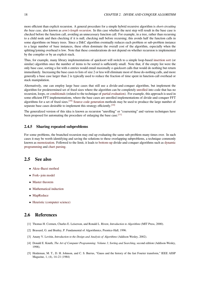more efficient than explicit recursion. A general procedure for a simple hybrid recursive algorithm is *short-circuiting the base case,* also known as *arm's-length recursion.* In this case whether the next step will result in the base case is checked before the function call, avoiding an unnecessary function call. For example, in a tree, rather than recursing to a child node and then checking if it is null, checking null before recursing; this avoids half the function calls in some algorithms on binary trees. Since a D&C algorithm eventually reduces each problem or sub-problem instance to a large number of basei[nstances, these often d](https://en.wikipedia.org/wiki/Arm%2527s-length_recursion)ominate the overall cost of the algorithm, especially when the splitting/joining overhead is low. Note that these considerations do not depend on whether recursion is implemented by the compiler or by an explicit stack.

Thus, for example, many library implementations of quicksort will switch to a simple loop-based insertion sort (or similar) algorithm once the number of items to be sorted is sufficiently small. Note that, if the empty list were the only base case, sorting a list with *n* entries would entail maximally *n* quicksort calls that would do nothing but return immediately. Increasing the base cases to lists of size 2 or less will eliminate most of those do-nothing calls, and more generally a base case larger than 2 is typically used to reduce the fraction of time spent in functio[n-call overhead](https://en.wikipedia.org/wiki/Insertion_sort) or stack manipulation.

Alternatively, one can employ large base cases that still use a divide-and-conquer algorithm, but implement the algorithm for predetermined set of fixed sizes where the algorithm can be completely unrolled into code that has no recursion, loops, or conditionals (related to the technique of partial evaluation). For example, this approach is used in some efficient FFT implementations, where the base cases are unrolled implementations of divide-and-conquer FFT algorithms for a set of fixed sizes.<sup>[10]</sup> Source code generation methods may be used to produce the large number of separate base cases desirable to implement this strategy efficiently.<sup>[10]</sup>

The generalized ve[rsion of this](https://en.wikipedia.org/wiki/Conditional_(programming)) idea is known as recursion ["unrolling" or "co](https://en.wikipedia.org/wiki/Partial_evaluation)arsening" and various techniques have been [pro](https://en.wikipedia.org/wiki/Divide_and_conquer_algorithm#cite_note-fftw-10)posed for automating the pro[cedure of enlarging the](https://en.wikipedia.org/wiki/Source_code_generation) base case.<sup>[11]</sup>

#### **2.4.5 Sharing repeated subproblems**

<span id="page-21-0"></span>For some problems, the branched recursion may end up evaluating the same sub-problem many times over. In such cases it may be worth identifying and saving the solutions to these overlapping subproblems, a technique commonly known as memoization. Followed to the limit, it leads to bottom-up divide-and-conquer algorithms such as dynamic programming and chart parsing.

## **[2.5](https://en.wikipedia.org/wiki/Dynamic_programming) [See also](https://en.wikipedia.org/wiki/Memoization)**

- *•* Akra–Bazzi method
- *•* Fork–join model
- *•* [Master theorem](https://en.wikipedia.org/wiki/Akra%E2%80%93Bazzi_method)
- *•* [Mathematical ind](https://en.wikipedia.org/wiki/Fork%E2%80%93join_model)uction
- *•* [MapReduce](https://en.wikipedia.org/wiki/Master_theorem)
- [Heuristic \(computer scie](https://en.wikipedia.org/wiki/Mathematical_induction)nce)

## **2.6 [Refere](https://en.wikipedia.org/wiki/MapReduce)[nces](https://en.wikipedia.org/wiki/Heuristic_(computer_science))**

- [1] Thomas H. Cormen, Charles E. Leiserson, and Ronald L. Rivest, *Introduction to Algorithms* (MIT Press, 2000).
- <span id="page-21-1"></span>[2] Brassard, G. and Bratley, P. Fundamental of Algorithmics, Prentice-Hall, 1996.
- [3] Anany V. Levitin, *Introduction to the Design and Analysis of Algorithms* (Addison Wesley, 2002).
- [4] Donald E. Knuth, *The Art of Computer Programming: Volume 3, Sorting and Searching*, second edition (Addison-Wesley, 1998).
- [5] Heideman, M. T., D. H. Johnson, and C. S. Burrus, "Gauss and the history of the fast Fourier transform," IEEE ASSP Magazine, 1, (4), 14–21 (1984)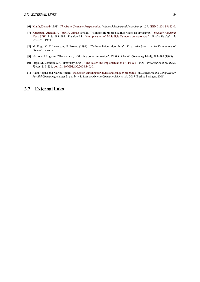- [6] Knuth, Donald (1998). *The Art of Computer Programming: Volume 3 Sorting and Searching*. p. 159. ISBN 0-201-89685-0.
- [7] Karatsuba, Anatolii A.; Yuri P. Ofman (1962). "Умножение многозначных чисел на автоматах". *Doklady Akademii Nauk SSSR*. **146**: 293–294. Translated in "Multiplication of Multidigit Numbers on Automata". *Physics-Doklady*. **7**: [595–596. 1963](https://en.wikipedia.org/wiki/Donald_Knuth).
- [8] M. Frigo; C. E. Leisers[on; H. Prokop](https://en.wikipedia.org/wiki/Yuri_Petrovich_Ofman) (1999). "Cache-oblivious algorithms". *Proc. 40th Symp. on [the Foundations of](https://en.wikipedia.org/wiki/Doklady_Akademii_Nauk_SSSR) [Computer Science](https://en.wikipedia.org/wiki/Anatolii_Alexeevitch_Karatsuba)*.
- [9] Nicholas J. Higham, "The accuracy of floating point summation", *SIAM J. Scientific Computing* **14** (4), 783–799 (1993).
- [10] Frigo, M.; Johnson, S. G. (February 2005). "The design and implementation of FFTW3" (PDF). *Proceedings of the IEEE*. **93** (2): 216–231. doi:10.1109/JPROC.2004.840301.
- [11] Radu Rugina and Martin Rinard, "Recursion unrolling for divide and conquer programs," in *Languages and Compilers for Parallel Computing*, chapter 3, pp. 34–48. *[Lecture Notes in Computer Science](http://www.fftw.org/fftw-paper-ieee.pdf)* vol. 2017 (Berlin: Springer, 2001).

# <span id="page-22-0"></span>**2.7 External links**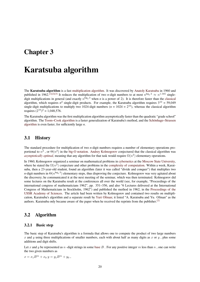# <span id="page-23-0"></span>**Chapter 3**

# **Karatsuba algorithm**

The **Karatsuba algorithm** is a fast multiplication algorithm. It was discovered by Anatoly Karatsuba in 1960 and published in 1962.<sup>[1][2][3]</sup> It reduces the multiplication of two *n*-digit numbers to at most  $n^{\log_2 3} \approx n^{1.585}$  singledigit multiplications in general (and exactly  $n^{\log_2 3}$  when *n* is a power of 2). It is therefore faster than the classical algorithm, which requires  $n^2$  single-digit products. For example, the Karatsuba algorithm requires  $3^{10} = 59,049$ single-digit multiplications to multi[ply two 1024-digit numb](https://en.wikipedia.org/wiki/Multiplication_algorithm)ers  $(n = 1024 = 2^{10})$ , [whereas the classic](https://en.wikipedia.org/wiki/Anatoly_Karatsuba)al algorithm requires $(2^{10})^2 = 1,048,576$  $(2^{10})^2 = 1,048,576$  $(2^{10})^2 = 1,048,576$  $(2^{10})^2 = 1,048,576$  $(2^{10})^2 = 1,048,576$ .

The Karatsuba algorithm was the first multiplication algorithm asymptotically faster than the quadratic "grad[e school"](https://en.wikipedia.org/wiki/Long_multiplication) algorithm. The Toom–Cook algorithm is a faster generalization of Karatsuba's method, and the Schönhage–Strassen algorithm is even faster, for sufficiently large *n*.

## **[3.1 H](https://en.wikipedia.org/wiki/Sch%C3%B6nhage%E2%80%93Strassen_algorithm)ist[ory](https://en.wikipedia.org/wiki/Toom%E2%80%93Cook_multiplication)**

<span id="page-23-1"></span>The standard procedure for multiplication of two *n*-digit numbers requires a number of elementary operations proportional to  $n^2$ , or  $\Theta(n^2)$  in the big-O notation. Andrey Kolmogorov conjectured that the classical algorithm was *asymptotically optimal*, meaning that any algorithm for that task would require  $\Omega(n^2)$  elementary operations.

In 1960, Kolmogorov organized a seminar on mathematical problems in cybernetics at the Moscow State University, where he stated the  $\Omega(n^2)$  conjecture and other problems in the complexity of computation. Within a week, Karatsuba, then a 23-year-old student, [found an algor](https://en.wikipedia.org/wiki/Big-O_notation)it[hm \(later it was calle](https://en.wikipedia.org/wiki/Andrey_Kolmogorov)d "divide and conquer") that multiplies two *n*[-digit numbers in](https://en.wikipedia.org/wiki/Asymptotically_optimal)  $\Theta(n^{\log_2 3})$  elementary steps, thus disproving the conjecture. Kolmogorov was very agitated about the discovery; he communicated it at the next meeting of the seminar, [which was th](https://en.wikipedia.org/wiki/Cybernetics)en ter[minated. Kolmogorov did](https://en.wikipedia.org/wiki/Moscow_State_University) some lectures on the Karatsuba result at the conferences all ove[r the world \(see, for examp](https://en.wikipedia.org/wiki/Computational_complexity_theory)le, "Proceedings of the international congress of mathematicians 1962", pp. 351–356, and also "6 Lectures delivered at the International Congress of Mathematicians in Stockholm, 1962") and published the method in 1962, in the Proceedings of the USSR Academy of Sciences. The article had been written by Kolmogorov and contained two results on multiplication, Karatsuba's algorithm and a separate result by Yuri Ofman; it listed "A. Karatsuba and Yu. Ofman" as the authors. Karatsuba only became aware of the paper when he received the reprints from the publisher.[2]

## **3.2 Algorithm**

#### <span id="page-23-2"></span>**3.2.1 Basic step**

<span id="page-23-3"></span>The basic step of Karatsuba's algorithm is a formula that allows one to compute the product of two large numbers *x* and *y* using three multiplications of smaller numbers, each with about half as many digits as *x* or *y*, plus some additions and digit shifts.

Let *x* and *y* be represented as *n* -digit strings in some base *B* . For any positive integer *m* less than *n* , one can write the two given numbers as

 $x = x_1 B^m + x_0 y = y_1 B^m + y_0$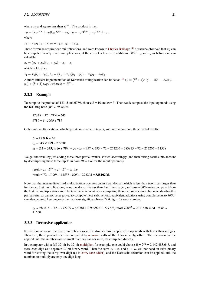where  $x_0$  and  $y_0$  are less than  $B^m$ . The product is then

$$
xy = (x_1B^m + x_0)(y_1B^m + y_0) xy = z_2B^{2m} + z_1B^m + z_0,
$$

where

 $z_2 = x_1y_1 z_1 = x_1y_0 + x_0y_1 z_0 = x_0y_0$ .

These formulae require four multiplications, and were known to Charles Babbage. [4] Karatsuba observed that *xy* can be computed in only three multiplications, at the cost of a few extra additions. With  $z_0$  and  $z_2$  as before one can calculate

$$
z_1 = (x_1 + x_0)(y_1 + y_0) - z_2 - z_0
$$

which holds since

 $z_1 = x_1y_0 + x_0y_1 z_1 = (x_1 + x_0)(y_1 + y_0) - x_1y_1 - x_0y_0$ .

A more efficient implementation of Karatsuba multiplication can be set as <sup>[5]</sup>  $xy = (b^2 + b)x_1y_1 - b(x_1 - x_0)(y_1 - b(x_2 - x_0)y_2$  $y_0$  + (*b* + 1) $x_0y_0$ , where  $b = B^m$ .

#### **3.2.2 Example**

<span id="page-24-0"></span>To compute the product of 12345 and 6789, choose  $B = 10$  and  $m = 3$ . Then we decompose the input operands using the resulting base  $(B^m = 1000)$ , as:

 $12345 = 12 \cdot 1000 + 345$  $6789 = 6 \cdot 1000 + 789$ 

Only three multiplications, which operate on smaller integers, are used to compute three partial results:

$$
z_2 = 12 \times 6 = 72
$$
  
\n
$$
z_0 = 345 \times 789 = 272205
$$
  
\n
$$
z_1 = (12 + 345) \times (6 + 789) - z_2 - z_0 = 357 \times 795 - 72 - 272205 = 283815 - 72 - 272205 = 11538
$$

We get the result by just adding these three partial results, shifted accordingly (and then taking carries into account by decomposing these three inputs in base *1000* like for the input operands):

result = 
$$
z_2 \cdot B^{2m} + z_1 \cdot B^m + z_0
$$
, i.e.  
result =  $72 \cdot 1000^2 + 11538 \cdot 1000 + 272205 = 83810205$ .

Note that the intermediate third multiplication operates on an input domain which is less than two times larger than for the two first multiplications, its output domain is less than four times larger, and base-*1000* carries computed from the first two multiplications must be taken into account when computing these two subtractions; but note also that this partial result *z*<sup>1</sup> cannot be negative: to compute these subtractions, equivalent additions using complements to *1000*<sup>2</sup> can also be used, keeping only the two least significant base-*1000* digits for each number:

*z*<sup>1</sup> = 283815 − 72 − 272205 = (283815 + 999928 + 727795) **mod** *1000*<sup>2</sup> = 2011538 **mod** *1000*<sup>2</sup> = 11538.

#### **3.2.3 Recursive application**

<span id="page-24-1"></span>If *n* is four or more, the three multiplications in Karatsuba's basic step involve operands with fewer than *n* digits. Therefore, those products can be computed by recursive calls of the Karatsuba algorithm. The recursion can be applied until the numbers are so small that they can (or must) be computed directly.

In a computer with a full 32-bit by 32-bit multiplier, for example, one could choose  $B = 2^{31} = 2,147,483,648$ , and store each digit as a separate 32-bit binary word. Then the sums  $x_1 + x_0$  and  $y_1 + y_0$  will not need an extra binary word for storing the carry-over digit (as in carry[-save add](https://en.wikipedia.org/wiki/Recursion)er), and the Karatsuba recursion can be applied until the numbers to multiply are only one digit long.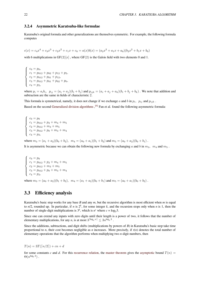#### **3.2.4 Asymmetric Karatsuba-like formulae**

<span id="page-25-0"></span>Karatsuba's original formula and other generalizations are themselves symmetric. For example, the following formula computes

$$
c(x) = c_4x^4 + c_3x^3 + c_2x^2 + c_1x + c_0 = a(x)b(x) = (a_2x^2 + a_1x + a_0)(b_2x^2 + b_1x + b_0)
$$

with 6 multiplications in  $GF(2)[x]$ , where  $GF(2)$  is the Galois field with two elements 0 and 1.

$$
\left\{\begin{array}{l} c_0=p_0,\\ c_1=p_{012}+p_{02}+p_{12}+p_2,\\ c_2=p_{012}+p_{01}+p_{12},\\ c_3=p_{012}+p_{01}+p_{02}+p_0,\\ c_4=p_2,\end{array}\right.
$$

where  $p_i = a_i b_i$ ,  $p_{ij} = (a_i + a_j)(b_i + b_j)$  and  $p_{ijk} = (a_i + a_j + a_k)(b_i + b_j + b_k)$ . We note that addition and subtraction are the same in fields of characteristic 2.

This formula is symmetrical, namely, it does not change if we exchange *a* and *b* in  $p_i$ ,  $p_{ij}$  and  $p_{ijk}$ . Based on the second Generalized division algorithms, [6] Fan et al. found the following asymmetric formula:

$$
\left\{\begin{array}{l} c_0=p_0\\ c_1=p_{012}+p_2+m_4+m_5\\ c_2=p_{012}+m_3+m_5\\ c_3=p_{012}+p_0+m_3+m_4\\ c_4=p_2, \end{array}\right.
$$

where  $m_3 = (a_1 + a_2)(b_0 + b_2)$ ,  $m_4 = (a_0 + a_1)(b_1 + b_2)$  and  $m_5 = (a_0 + a_2)(b_0 + b_1)$ .

It is asymmetric because we can obtain the following new formula by exchanging *a* and *b* in  $m_3$ ,  $m_4$  and  $m_5$ .

 $\sqrt{ }$  $\Big\}$  $\overline{\mathcal{L}}$  $c_0 = p_0$  $c_1 = p_{012} + p_2 + m_4 + m_5$  $c_2 = p_{012} + m_3 + m_5$  $c_3 = p_{012} + p_0 + m_3 + m_4$  $c_4 = p_2$ ,

where  $m_3 = (a_0 + a_2)(b_1 + b_2)$ ,  $m_4 = (a_1 + a_2)(b_0 + b_1)$  and  $m_5 = (a_0 + a_1)(b_0 + b_2)$ .

# **3.3 Efficiency analysis**

<span id="page-25-1"></span>Karatsuba's basic step works for any base *B* and any *m*, but the recursive algorithm is most efficient when *m* is equal to  $n/2$ , rounded up. In particular, if *n* is  $2^k$ , for some integer *k*, and the recursion stops only when *n* is 1, then the number of single-digit multiplications is  $3^k$ , which is  $n^c$  where  $c = \log_2 3$ .

Since one can extend any inputs with zero digits until their length is a power of two, it follows that the number of elementary multiplications, for any *n*, is at most  $3^{\lceil \log_2 n \rceil} \leq 3n^{\log_2 3}$ .

Since the additions, subtractions, and digit shifts (multiplications by powers of *B*) in Karatsuba's basic step take time proportional to *n*, their cost becomes negligible as *n* increases. More precisely, if *t*(*n*) denotes the total number of elementary operations that the algorithm performs when multiplying two *n*-digit numbers, then

 $T(n) = 3T(\lceil n/2 \rceil) + cn + d$ 

for some constants *c* and *d*. For this recurrence relation, the master theorem gives the asymptotic bound  $T(n)$  =  $\Theta(n^{\log_2 3})$ .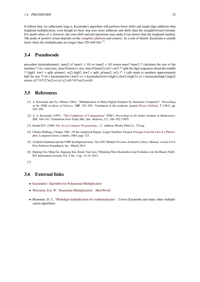It follows that, for sufficiently large *n*, Karatsuba's algorithm will perform fewer shifts and single-digit additions than longhand multiplication, even though its basic step uses more additions and shifts than the straightforward formula. For small values of *n*, however, the extra shift and add operations may make it run slower than the longhand method. The point of positive return depends on the computer platform and context. As a rule of thumb, Karatsuba is usually faster when the multiplicands are longer than  $320-640$  bits.<sup>[7]</sup>

# **3.4 Pseudocode**

procedure karatsuba(num1, num2) if (num1 < 10) or (num2 < 10) return num1\*num2 /\* calculates the size of the numbers  $*\prime$  m = max(size\_base10(num1), size\_base10(num2)) m2 = m/2 /\* split the digit sequences about the middle \*/ high1, low1 = split at(num1, m2) high2, low2 = split at(num2, m2) /\* 3 calls made to numbers approximately half the size  $\frac{*}{z}$  z0 = karatsuba(low1,low2) z1 = karatsuba((low1+high1),(low2+high2)) z2 = karatsuba(high1,high2) return  $(z2*10^x(2*m2))+(z1-z2-z0)*10^x(m2)+(z0)$ 

# **3.5 References**

- <span id="page-26-0"></span>[1] A. Karatsuba and Yu. Ofman (1962). "Multiplication of Many-Digital Numbers by Automatic Computers". *Proceedings of the USSR Academy of Sciences*. **145**: 293–294. Translation in the academic journal *Physics-Doklady*, **7** (1963), pp. 595–596
- [2] A. A. Karatsuba (1995). "The Complexity of Computations" (PDF). *Proceedings of the Steklov Institute of Mathematics*. **211**: 169–183. Translation from Trudy Mat. Inst. Steklova, 211, 186–202 (1995)
- [3] Knuth D.E. (1969) *The Art of Computer Programming. v.2.* Addison-Wesley Publ.Co., 724 pp.
- [4] Charles Babbage, Chapte[r VIII Of the Analytical Engine, La](http://www.ccas.ru/personal/karatsuba/divcen.pdf)rger Numbers Treated, Passages from the Life of a Philosopher, Longman Green, London, 1864; page 125.
- [5] Torbjörn Granlund [and the GMP development team,](https://en.wikipedia.org/wiki/The_Art_of_Computer_Programming) *The GNU Multiple Precision Arithmetic Library Manual, version 6.0.0*, Free Software Foundation, Inc., March 2014.
- [6] [Hain](https://books.google.com/books?id=Fa1JAAAAMAAJ&pg=PA125)ing Fan, Ming Gu, Jiaguang Sun, Kwok-Yan Lam,"Obtaining More Karatsuba-Like Formulae over the Binary Field", IET Information security Vol. 6 No. 1 pp. 14-19, 2012.
- [7]

# **3.6 External links**

- *•* Karatsuba's Algorithm for Polynomial Multiplication
- <span id="page-26-1"></span>*•* Weisstein, Eric W. "Karatsuba Multiplication". *MathWorld*.
- [Bernstein, D. J., "Multidigit multiplication for mathe](http://www.cs.pitt.edu/~kirk/cs1501/animations/Karatsuba.html)maticians". Covers Karatsuba and many other multiplication algorithms.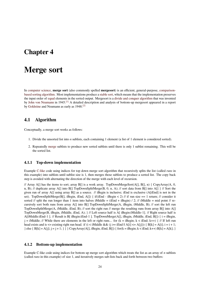# <span id="page-27-0"></span>**Chapter 4**

# **Merge sort**

In computer science, **merge sort** (also commonly spelled **mergesort**) is an efficient, general-purpose, comparisonbased sorting algorithm. Most implementations produce a stable sort, which means that the implementation preserves the input order of equal elements in the sorted output. Mergesort is a divide and conquer algorithm that was invented by John von Neumann in 1945.[1] A detailed description and analysis of bottom-up mergesort appeared in a report by [Goldstine](https://en.wikipedia.org/wiki/Computer_science) and Neumann as early as 1948.[2]

## **4.[1 Algorithm](https://en.wikipedia.org/wiki/John_von_Neumann)**

<span id="page-27-1"></span>Conceptually, a merge sort works as follows:

- 1. Divide the unsorted list into *n* sublists, each containing 1 element (a list of 1 element is considered sorted).
- 2. Repeatedly merge sublists to produce new sorted sublists until there is only 1 sublist remaining. This will be the sorted list.

#### **4.1.1 Top-d[own im](https://en.wikipedia.org/wiki/Merge_algorithm)plementation**

<span id="page-27-2"></span>Example C-like code using indices for top down merge sort algorithm that recursively splits the list (called *runs* in this example) into sublists until sublist size is 1, then merges those sublists to produce a sorted list. The copy back step is avoided with alternating the direction of the merge with each level of recursion.

// Array A[] has the items to sort; array B[] is a work array. TopDownMergeSort(A[], B[], n) { CopyArray(A, 0, n, B); // [duplica](https://en.wikipedia.org/wiki/C-like)te array A[] into B[] TopDownSplitMerge(B, 0, n, A); // sort data from B[] into A[] } // Sort the given run of array A[] using array B[] as a source. // iBegin is inclusive; iEnd is exclusive (A[iEnd] is not in the set). TopDownSplitMerge(B[], iBegin, iEnd, A[]) { if(iEnd - iBegin < 2) // if run size = 1 return; // consider it sorted // split the run longer than 1 item into halves iMiddle = (iEnd + iBegin) / 2; // iMiddle = mid point // recursively sort both runs from array A[] into B[] TopDownSplitMerge(A, iBegin, iMiddle, B); // sort the left run TopDownSplitMerge(A, iMiddle, iEnd, B); // sort the right run // merge the resulting runs from array B[] into A[] TopDownMerge(B, iBegin, iMiddle, iEnd, A); } // Left source half is A[ iBegin:iMiddle-1]. // Right source half is A[iMiddle:iEnd-1]. // Result is B[ iBegin:iEnd-1]. TopDownMerge(A[], iBegin, iMiddle, iEnd, B[]) {  $i = i$ Begin,  $j = i$ Middle; // While there are elements in the left or right runs... for  $(k = i$ Begin;  $k < i$  End;  $k++$ ) { // If left run head exists and is  $\leq$  existing right run head. if (i  $\lt$  iMiddle && (j  $\gt$  = iEnd || A[i]  $\lt$  = A[j])) { B[k] = A[i]; i = i + 1; } else {  $B[k] = A[j]; j = j + 1;$  }  $\}$  CopyArray(A[], iBegin, iEnd, B[]) { for(k = iBegin; k < iEnd; k++) B[k] = A[k]; }

#### **4.1.2 Bottom-up implementation**

<span id="page-27-3"></span>Example C-like code using indices for bottom up merge sort algorithm which treats the list as an array of *n* sublists (called *runs* in this example) of size 1, and iteratively merges sub-lists back and forth between two buffers: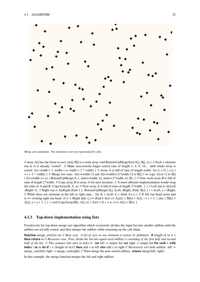

*Merge sort animation. The elements to sort are represented by dots.*

// array A[] has the items to sort; array B[] is a work array void BottomUpMergeSort(A[], B[], n) { // Each 1-element run in A is already "sorted". // Make successively longer sorted runs of length 2, 4, 8, 16... until whole array is sorted. for (width = 1; width < n; width = 2 \* width) { // Array A is full of runs of length width. for  $(i = 0; i < n; i$  $=$  i + 2 \* width) { // Merge two runs: A[i:i+width-1] and A[i+width:i+2\*width-1] to B[] // or copy A[i:n-1] to B[]  $(iif(i+width >= n))$  BottomUpMerge $(A, i, min(i+width, n), min(i+2*width, n), B)$ ;  $\}$  // Now work array B is full of runs of length 2\*width. // Copy array B to array A for next iteration. // A more efficient implementation would swap the roles of A and B. CopyArray(B, A, n); // Now array A is full of runs of length 2\*width. } } // Left run is A[iLeft : $iRight-1$ ]. // Right run is A[iRight:iEnd-1]. BottomUpMerge(A[], iLeft, iRight, iEnd, B[]) {  $i = iLeft$ ,  $j = iRight$ ; // While there are elements in the left or right runs... for  $(k = iLeft; k < iEnd; k++)$  { // If left run head exists and is  $\leq$  existing right run head. if (i  $\lt$  iRight && (j > = iEnd || A[i]  $\lt$  = A[j])) { B[k] = A[i]; i = i + 1; } else { B[k] = A[j];  $j = j + 1$ ;  $\}$  } void CopyArray(B[], A[], n) { for( $i = 0$ ;  $i < n$ ;  $i + j$ ) A[i] = B[i]; }

#### **4.1.3 Top-down implementation using lists**

Pseudocode for top down merge sort algorithm which recursively divides the input list into smaller sublists until the sublists are trivially sorted, and then merges the sublists while returning up the call chain.

<span id="page-28-0"></span>**function** merge\_sort(*list* m) // *Base case.* A list of zero or one elements is sorted, by definition. **if** length of  $m \le 1$ **then return** m // *Recursive case. First, divide the list into equal-sized sublists* // *consisting of the first half and second [half of the l](https://en.wikipedia.org/wiki/Pseudocode)ist.* // *This assumes lists start at index 0.* **var** left := empty list **var** right := empty list **for each** x **with index** i **in** m **do if** i < (length of m)/2 **then** add x to left **else** add x to right // *Recursively sort both sublists*. left := merge sort(left) right := merge sort(right) // Then merge the now-sorted sublists. **return** merge(left, right)

In this example, the merge function merges the left and right sublists.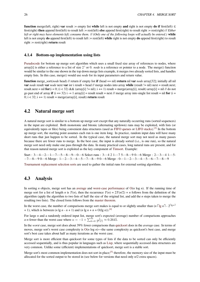**function** merge(left, right) **var** result := empty list **while** left is not empty **and** right is not empty **do if** first(left)  $\leq$ first(right) **then** append first(left) to result left := rest(left) **else** append first(right) to result right := rest(right) // *Either left or right may have elements left; consume them.* // *(Only one of the following loops will actually be entered.)* **while** left is not empty **do** append first(left) to result left := rest(left) **while** right is not empty **do** append first(right) to result right := rest(right) **return** result

#### **4.1.4 Bottom-up implementation using lists**

Pseudocode for bottom up merge sort algorithm which uses a small fixed size array of references to nodes, where array[i] is either a reference to a list of size  $2<sup>i</sup>$  or 0. *node* is a reference or pointer to a node. The merge() function would be similar to the one shown in the top down merge lists example, it merges two already sorted lists, and handles empty lists. In this case, merge() would use *node* for its input parameters and return value.

**[function](https://en.wikipedia.org/wiki/Pseudocode)** merge\_sort(*node* head) // return if empty list **if** (head == nil) **return** nil **var** *node* array[32]; initially all nil **var** *node* result **var** *node* next **var** *int* i result = head // merge nodes into array **while** (result != nil) next = result.next; result.next = nil  $for(i = 0; (i < 32) \& (array[i] != nil); i += 1)$  result = merge(array[i], result) array[i] = nil // do not go past end of array **if**  $(i == 32)$  i  $-1$  array $[i]$  = result result = next // merge array into single list result = nil **for**  $(i == 32)$  $0; i < 32; i += 1$  result = merge(array[i], result) **return** result

# **4.2 Natural merge sort**

A natural merge sort is similar to a bottom up merge sort except that any naturally occurring runs (sorted sequences) in the input are exploited. Both monotonic and bitonic (alternating up/down) runs may be exploited, with lists (or equivalently tapes or files) being convenient data structures (used as FIFO queues or LIFO stacks).<sup>[3]</sup> In the bottom up merge sort, the starting point assumes each run is one item long. In practice, random input data will have many short runs that just happen to be sorted. In the typical case, the natural merge sort may not need as many passes because there are fewer runs to merge. In the best case, the input is already sorted (i.e., is one run), so the natural merge sort need only make one pass through the data. In many pract[ical cases, lon](https://en.wikipedia.org/wiki/Queue_(abstract_data_type))gn[atural runs ar](https://en.wikipedia.org/wiki/Stack_(abstract_data_type))[e p](https://en.wikipedia.org/wiki/Merge_sort#cite_note-3)resent, and for that reason natural merge sort is exploited as the key component of Timsort. Example:

Start : 3-*−*4-*−*2-*−*1-*−*7-*−*5-*−*8-*−*9-*−*0-*−*6 Select runs : 3-*−*4 2 1-*−*7 5-*−*8-*−*9 0-*−*6 Merge : 2-*−*3-*−*4 1-*−*5-  $-7-8-9$  0- $-6$  Merge: 1--2--3--4--5--7--8--9 0--6 Merge: 0--1--2--3--4--5--6--7--8--9

Tournament replacement selection sorts are used to gather the initi[al runs fo](https://en.wikipedia.org/wiki/Timsort)r external sorting algorithms.

# **[4.3 Analysis](https://en.wikipedia.org/wiki/Tournament_sort)**

In sorting *n* objects, merge sort has an average and worst-case performance of  $O(n \log n)$ . If the running time of merge sort for a list of length *n* is  $T(n)$ , then the recurrence  $T(n) = 2T(n/2) + n$  follows from the definition of the algorithm (apply the algorithm to two lists of half the size of the original list, and add the *n* steps taken to merge the resulting two lists). The closed form follows from the master theorem.

In the worst case, the number of compa[risons m](https://en.wikipedia.org/wiki/Average_performance)erge [sort makes is equal to o](https://en.wikipedia.org/wiki/Worst-case_performance)r sl[igh](https://en.wikipedia.org/wiki/Big_O_notation)tly smaller than  $(n \lceil \lg n \rceil - 2^{\lceil \lg n \rceil})$ + 1), which is between  $(n \lg n - n + 1)$  and  $(n \lg n + n + O(\lg n))$ .<sup>[4]</sup>

For large *n* and a randomly ordered input list, merge [sort's expected](https://en.wikipedia.org/wiki/Master_theorem) (average) number of comparisons approaches *α*·*n* fewer than the worst case where  $\alpha = -1 + \sum_{k=0}^{\infty} \frac{1}{2^k + 1} \approx 0.2645$ .

In the *worst* case, merge sort does about 39% fewer comparisons [tha](https://en.wikipedia.org/wiki/Merge_sort#cite_note-4)n quicksort does in the *average* cas[e.](https://en.wikipedia.org/wiki/Binary_logarithm) In terms of moves, merge sort's worst case complexity is  $O(n \log n)$ —the same complexity as quicksort's best case, and merge sort's best case takes about half as many iterations as the worst case.

Merge sort is more efficient than quicksort for some types of lists if the data to be sorted can only be efficiently accessed sequentially, and is thus popular in languages such as Lisp, [where sequ](https://en.wikipedia.org/wiki/Quicksort)entially accessed data structures are very common. Unlike some (efficient) imple[men](https://en.wikipedia.org/wiki/Big_O_notation)tations of quicksort, merge sort is a stable sort.

Merge sort's most common implementation does not sort in place; $\left[5\right]$  therefore, the memory size of the input must be allocated for the sorted output to be stored in (see below for ve[rsion](https://en.wikipedia.org/wiki/Lisp_programming_language)s that need only *n*/2 extra spaces).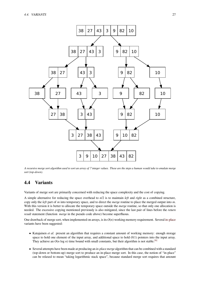

*A recursive merge sort algorithm used to sort an array of 7 integer values. These are the steps a human would take to emulate merge sort (top-down).*

# **4.4 Variants**

Variants of merge sort are primarily concerned with reducing the space complexity and the cost of copying.

<span id="page-30-0"></span>A simple alternative for reducing the space overhead to *n*/2 is to maintain *left* and *right* as a combined structure, copy only the *left* part of *m* into temporary space, and to direct the *merge* routine to place the merged output into *m*. With this version it is better to allocate the temporary space outside the *merge* routine, so that only one allocation is needed. The excessive copying mentioned previously is also mitigated, since the last pair of lines before the *return result* statement (function *merge* in the pseudo code above) become superfluous.

One drawback of merge sort, when implemented on arrays, is its *O*(*n*) working memory requirement. Several in-place variants have been suggested:

- Katajainen *et al.* present an algorithm that requires a constant amount of working memory: enough storage space to hold one element of the input array, and additional space to hold  $O(1)$  pointers into the inp[ut array.](https://en.wikipedia.org/wiki/In-place_algorithm) They achieve an  $O(n \log n)$  time bound with small constants, but their algorithm is not stable.<sup>[6]</sup>
- *•* Several attempts have been made at producing an *in-place merge* algorithm that can be combined with a standard (top-down or bottom-up) merge sort to produce an in-place merge sort. In this case, the notion of "in-place" can be relaxed to mean "taking logarithmic stack space", because standard merge sort requ[ire](https://en.wikipedia.org/wiki/Merge_sort#cite_note-6)s that amount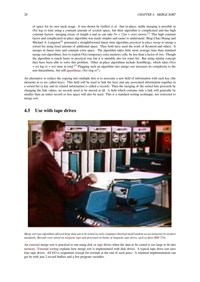of space for its own stack usage. It was shown by Geffert *et al.* that in-place, stable merging is possible in  $O(n \log n)$  time using a constant amount of scratch space, but their algorithm is complicated and has high constant factors: merging arrays of length n and m can take  $5n + 12m + o(m)$  moves.<sup>[7]</sup> This high constant factor and complicated in-place algorithm was made simpler and easier to understand. Bing-Chao Huang and Michael A. Langston[8] presented a straightforward linear time algorithm *practical in-place merge* to merge a sorted list using fixed amount of additional space. They both have used the work of Kronrod and others. It merges in linear time and constant extra space. The algorithm takes little more avera[ge](https://en.wikipedia.org/wiki/Merge_sort#cite_note-7) time than standard merge sort algorithms, free to exploit O(n) temporary extra memory cells, by less than a factor of two. Though the algorithm is muc[h f](https://en.wikipedia.org/wiki/Merge_sort#cite_note-Research_Contributions-8)aster in practical way but it is unstable also for some list. But using similar concept they have been able to solve this problem. Other in-place algorithms include SymMerge, which takes  $O((n \cdot n))$  $+ m$ ) log  $(n + m)$  time in total.<sup>[9]</sup> Plugging such an algorithm into merge sort increases its complexity to the non-linearithmic, but still quasilinear,  $O(n (\log n)^2)$ .

An alternative to reduce the copying into multiple lists is to associate a new field of information with each key (the elements in *m* are called keys). This [fie](https://en.wikipedia.org/wiki/Merge_sort#cite_note-9)ld will be used to link the keys and any associated information together in a sorted list (a key and its relate[d informati](https://en.wikipedia.org/wiki/Quasilinear_time)on is called a record). Then the merging of the sorted lists proceeds by changing the link values; no records need to be moved at all. A field which contains only a link will generally be smaller than an entire record so less space will also be used. This is a standard sorting technique, not restricted to merge sort.

<span id="page-31-0"></span>

# **4.5 Use with tape drives**

*Merge sort type algorithms allowed large data sets to be sorted on early computers that had small random access memories by modern standards. Records were stored on magnetic tape and processed on banks of magnetic tape drives, such as these IBM 729s.*

An external merge sort is practical to run using disk or tape drives when the data to be sorted is too large to fit into memory. External sorting explains how merge sort is implemented with disk drives. A typical tape drive sort uses four tape drives. All I/O is se[quential \(exce](https://en.wikipedia.org/wiki/Magnetic_tape)pt for rewinds at the end of each pass). A minimal im[plementat](https://en.wikipedia.org/wiki/IBM_729)ion can get by with just 2 record buffers and a few program variables.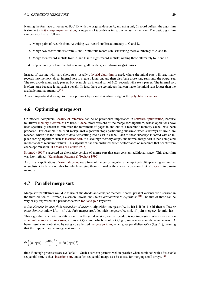Naming the four tape drives as A, B, C, D, with the original data on A, and using only 2 record buffers, the algorithm is similar to Bottom-up implementation, using pairs of tape drives instead of arrays in memory. The basic algorithm can be described as follows:

- 1. Merg[e pairs of records from A; w](https://en.wikipedia.org/wiki/Merge_sort#Bottom-up_implementation)riting two-record sublists alternately to C and D.
- 2. Merge two-record sublists from C and D into four-record sublists; writing these alternately to A and B.
- 3. Merge four-record sublists from A and B into eight-record sublists; writing these alternately to C and D
- 4. Repeat until you have one list containing all the data, sorted—in  $log_2(n)$  passes.

Instead of starting with very short runs, usually a hybrid algorithm is used, where the initial pass will read many records into memory, do an internal sort to create a long run, and then distribute those long runs onto the output set. The step avoids many early passes. For example, an internal sort of 1024 records will save 9 passes. The internal sort is often large because it has such a benefit. In fact, there are techniques that can make the initial runs longer than the available internal memory.[10]

A more sophisticated merge sort that optimizes tape (and disk) drive usage is the polyphase merge sort.

## **4.6 Optimizing [m](https://en.wikipedia.org/wiki/Merge_sort#cite_note-10)erge sort**

<span id="page-32-0"></span>On modern computers, locality of reference can be of paramount importance in software optimization, because multilevel memory hierarchies are used. Cache-aware versions of the merge sort algorithm, whose operations have been specifically chosen to minimize the movement of pages in and out of a machine's memory cache, have been proposed. For example, the **tiled merge sort** algorithm stops partitioning subarrays when subarrays of size S are reached,where S is the n[umber of data items fi](https://en.wikipedia.org/wiki/Locality_of_reference)tting into a CPU's cache. Each of the[se subarrays is sorted w](https://en.wikipedia.org/wiki/Software_optimization)ith an inplace sorti[ng algorithm such as](https://en.wikipedia.org/wiki/Memory_hierarchy) insertions[ort, to](https://en.wikipedia.org/wiki/Cache_(computing)) discourage memory swaps, and normal merge sort is then completed in the standard recursive fashion. This algorithm has demonstrated better performance on machines that benefit from cache optimization. (LaMarca & Ladner 1997)

Kronrod (1969) suggested an alternative version of merge sort that uses constant additional space. This algorithm was later refined. (Katajainen, [Pasanen & Te](https://en.wikipedia.org/wiki/Insertion_sort)uhola 1996)

Also, many applications of [external sorting](https://en.wikipedia.org/wiki/Merge_sort#CITEREFLaMarcaLadner1997) use a form of merge sorting where the input get split up to a higher number of sublists, ideally to a number for which merging them still makes the currently processed set of pages fit into main [memory.](https://en.wikipedia.org/wiki/Merge_sort#CITEREFKronrod1969)

## **4.7 Parallel merge sort**

<span id="page-32-1"></span>Merge sort parallelizes well due to use of the divide-and-conquer method. Several parallel variants are discussed in the third edition of Cormen, Leiserson, Rivest, and Stein's *Introduction to Algorithms*. [11] The first of these can be very easily expressed in a pseudocode with fork and join keywords:

// *Sort elements lo through hi (exclusive) of array A.* **algorithm** mergesort(A, lo, hi) **is if** lo+1 < hi **then** // *Two or more elements.* mid =  $\lfloor (10 + h_i) / 2 \rfloor$  **fork** mergesort(A, lo, mid) mergesort(A, mid, hi) **[joi](https://en.wikipedia.org/wiki/Merge_sort#cite_note-clrs-11)n** merge(A, lo, mid, hi)

This algorithm is a trivial modification fro[m the serial ve](https://en.wikipedia.org/wiki/Fork%E2%80%93join_model)rsion, and its speedup is not impressive: when executed on an infinite number of processors, it runs in Θ(*n*) time, which is only a Θ(log *n*) improvement on the serial version. A better result can be obtained by using a parallelized merge algorithm, which gives parallelism Θ(*n* / (log *n*) 2 ), meaning that this type of parallel merge sort runs in

$$
\Theta\left((n\log n)\cdot\frac{(\log n)^2}{n}\right) = \Theta((\log n)^3)
$$

time if enough processors are available.<sup>[11]</sup> Such a sort can perform well in practice when combined with a fast stable sequential sort, such as insertion sort, and a fast sequential merge as a base case for merging small arrays.<sup>[12]</sup>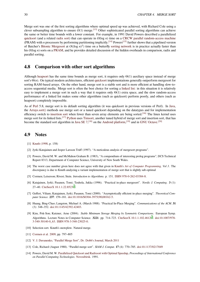Merge sort was one of the first sorting algorithms where optimal speed up was achieved, with Richard Cole using a clever subsampling algorithm to ensure  $O(1)$  merge.<sup>[13]</sup> Other sophisticated parallel sorting algorithms can achieve the same or better time bounds with a lower constant. For example, in 1991 David Powers described a parallelized quicksort (and a related radix sort) that can operate in  $O(\log n)$  time on a CRCW parallel random-access machine (PRAM) with *n* processors by performing partitioning implicitly.<sup>[14]</sup> Powers<sup>[15]</sup> further shows that a pipelined version of Batcher's Bitonic Mergesort at  $O((\log n)^2)$  time [on a](https://en.wikipedia.org/wiki/Merge_sort#cite_note-13) butterfly sorting network is in practice actually faster than his  $O(\log n)$  sorts on a PRAM, and he provides detailed discussion of the hidden overheads in comparison, radix and [parallel so](https://en.wikipedia.org/wiki/Quicksort)rting.

# **4.8 Co[mpari](https://en.wikipedia.org/wiki/Bitonic_sorter)[son w](https://en.wikipedia.org/wiki/Parallel_Random_Access_Machine)[i](https://en.wikipedia.org/wiki/Bitonic_sorter)th other sort algorith[ms](https://en.wikipedia.org/wiki/Sorting_network)**

<span id="page-33-0"></span>Although heapsort has the same time bounds as merge sort, it requires only Θ(1) auxiliary space instead of merge sort's Θ(*n*). On typical modern architectures, efficient quicksort implementations generally outperform mergesort for sorting RAM-based arrays. On the other hand, merge sort is a stable sort and is more efficient at handling slow-toaccess sequential media. Merge sort is often the best choice for sorting a linked list: in this situation it is relatively easy to i[mplement](https://en.wikipedia.org/wiki/Heapsort) a merge sort in such a way that it requires only Θ(1) extra space, and the slow random-access performance of a linked list makes some other algor[ithms \(suc](https://en.wikipedia.org/wiki/Quicksort)h as quicksort) perform poorly, and others (such as heapsort) completely impossible.

As of Perl 5.8, merge sort is its default sorting algorithm (it was quicks[ort in previ](https://en.wikipedia.org/wiki/Linked_list)ous versions of Perl). In Java, the Arrays.sort() methods use merge sort or a tuned quicksort depending on the datatypes and for implementation efficiency switch to insertion sort when fewer than seven array elements are being sorted.[16] The linux kernel uses merge sort for its linked lists.[17] Python uses Timsort, another tuned hybrid of merge sort and insertion sort, that has beco[me the](https://en.wikipedia.org/wiki/Perl) standard sort algorithm in Java SE  $7$ ,  $^{[18]}$  on the Android platform,  $^{[19]}$  and in GNU Octave.  $^{[20]}$ 

## **4.9 Notes**

- [1] Knuth (1998, p. 158)
- [2] Jyrki Katajainen and Jesper Larsson Träff (1997). "A meticulous analysis of mergesort programs".
- [3] Powers, David M. W. and McMahon Graham B. (1983), "A compendium of interesting prolog programs", DCS Technical [Report 8313,](https://en.wikipedia.org/wiki/Merge_sort#CITEREFKnuth1998) Department of Computer Science, University of New South Wales.
- [4] The worst case number given here does not agree with that given in Knuth's *Art of Computer Programming, Vol 3*. The discrepancy is due to Knuth analyzing a variant implementation of merge sort that is slightly sub-optimal
- [5] Cormen; Leiserson; Rivest; Stein. *Introduction to Algorithms*. p. 151. ISBN 978-0-262-03384-8.
- [6] Katajainen, Jyrki; Pasanen, Tomi; Teuhola, Jukka (1996). "Practic[al in-pl](https://en.wikipedia.org/wiki/Donald_Knuth)ace mergesort". *[Nordic J. Comp](https://en.wikipedia.org/wiki/Art_of_Computer_Programming)uting*. **3** (1): 27–40. CiteSeerX 10.1.1.22.85230.
- [7] Geffert, Viliam; Katajainen, Jyrki; Pasanen, Tomi (2000). "Asympto[tically](https://en.wikipedia.org/wiki/International_Standard_Book_Number) [efficient in-place me](https://en.wikipedia.org/wiki/Special:BookSources/978-0-262-03384-8)rging". *Theoretical Computer Science*. **237**: 159–181. doi:10.1016/S0304-3975(98)00162-5.
- [8] Huang, [Bing-Chao](https://en.wikipedia.org/wiki/CiteSeerX)[; Langston, Mic](https://citeseerx.ist.psu.edu/viewdoc/summary?doi=10.1.1.22.8523)hael A. (March 1988). "Practical In-Place Merging". *Communications of the ACM*. **31** (3): 348–352. doi:10.1145/42392.42403.
- [9] Kim, Pok-Son; Kutzner, Arn[e \(2](https://en.wikipedia.org/wiki/Digital_object_identifier)004). *[Stable Minimum Storage M](https://dx.doi.org/10.1016%252FS0304-3975%252898%252900162-5)erging by Symmetric Comparisons*. European Symp. Algorithms. Lecture Notes in Computer Science. **3221**. pp. 714–723. CiteSeerX 10.1.1.102.46120. doi:10.1007/978-3-540-30140-[0\\_63](https://en.wikipedia.org/wiki/Digital_object_identifier). ISBN [978-3-540-230](https://dx.doi.org/10.1145%252F42392.42403)25-0.
- [10] Selection sort. Knuth's snowplow. Natural merge.
- [11] Cormen et al. 2009, pp. 797–805
- [12] [V. J. Duvanenko, "P](https://dx.doi.org/10.1007%252F978-3-540-30140-0_63)[arallel](https://en.wikipedia.org/wiki/International_Standard_Book_Number) [Merge Sort", Dr. Do](https://en.wikipedia.org/wiki/Special:BookSources/978-3-540-23025-0)bb's Journal, March 2011
- [13] Cole, Richard (August 1988). "Parallel merge sort". *SIAM J. Comput*. **17** (4): 770–785. doi:10.1137/0217049
- [14] [Powers, David M. W](https://en.wikipedia.org/wiki/Merge_sort#CITEREFCormenLeisersonRivestStein2009). Parallelized Quicksort and Radixsort with Optimal Speedup, *Proceedings of International Conference [on Parallel Computing Technologies](http://drdobbs.com/high-performance-computing/229400239)*. Novosibirsk. 1991.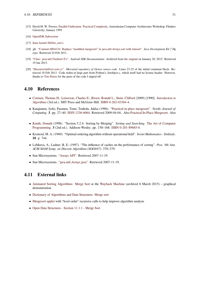- [15] David M. W. Powers, Parallel Unification: Practical Complexity, Australasian Computer Architecture Workshop, Flinders University, January 1995
- [16] OpenJDK Subversion
- [17] linux kernel /lib/list\_s[ort.c](http://david.wardpowers.info/Research/AI/papers/199501-ACAW-PUPC.pdf)
- [18] jjb. "Commit 6804124: Replace "modified mergesort" in java.util.Arrays.sort with timsort". *Java Development Kit 7 Hg repo*[. Retrieved 24 Fe](https://openjdk.dev.java.net/source/browse/openjdk/jdk/trunk/jdk/src/share/classes/java/util/Arrays.java?view=markup)b 2011.
- [19] ["Class: java.util.TimSort<T](https://github.com/torvalds/linux/blob/master/lib/list_sort.c)>". *Android JDK Documentation*. Archived from the original on January 20, 2015. Retrieved 19J[an 2015.](http://hg.openjdk.java.net/jdk7/tl/jdk/rev/bfd7abda8f79)
- [20] "liboctave/util/oct-sort.cc". *Mercurial repository of Octave source code*. Lines 23-25 of the initial comment block. Retrieved 18 Feb 2013. Code stolen in large part from Python's, listobject.c, w[hich itself h](https://android.googlesource.com/platform/libcore/+/jb-mr2-release/luni/src/main/java/java/util/TimSort.java)ad no license header. However, thanks to [Tim Peters](https://web.archive.org/web/20150120063131/https://android.googlesource.com/platform/libcore/+/jb-mr2-release/luni/src/main/java/java/util/TimSort.java) for the parts of the code I ripped-off.

## **4.1[0 References](http://hg.savannah.gnu.org/hgweb/octave/file/0486a29d780f/liboctave/util/oct-sort.cc)**

- <span id="page-34-0"></span>*•* Cormen, Thomas H.; Leiserson, Charles E.; Rivest, Ronald L.; Stein, Clifford (2009) [1990]. *Introduction to Algorithms* (3rd ed.). MIT Press and McGraw-Hill. ISBN 0-262-03384-4.
- *•* Katajainen, Jyrki; Pasanen, Tomi; Teuhola, Jukka (1996). "Practical in-place mergesort". *Nordic Journal of [Computing](https://en.wikipedia.org/wiki/Thomas_H._Cormen)*. **3**. pp. 27–40. ISSN [1236-6064](https://en.wikipedia.org/wiki/Charles_E._Leiserson). [Retrieved 2009-0](https://en.wikipedia.org/wiki/Ron_Rivest)[4-04.. Also](https://en.wikipedia.org/wiki/Clifford_Stein) Practical In-Place [Mergesort. Also](https://en.wikipedia.org/wiki/Introduction_to_Algorithms)
- *•* Knuth, Donald (1998). "Section 5.2.4: Sorting by Merging". *[Sorting and Searching](http://www.diku.dk/hjemmesider/ansatte/jyrki/Paper/mergesort_NJC.ps)*. The Art of Computer Programming. **3** (2nd ed.)[. Add](https://en.wikipedia.org/wiki/International_Standard_Serial_Number)[ison-Wesley](https://www.worldcat.org/issn/1236-6064). pp. 158–168. ISBN 0-201-8[9685-0.](http://citeseer.ist.psu.edu/katajainen96practical.html)
- *•* Kronrod, M. A. (1969). "Optimal ordering algorithm without operational field". *Soviet Mathematics Doklady*. **10**[. p. 744.](https://en.wikipedia.org/wiki/Donald_Knuth)
- *•* [LaMarca, A.;](https://en.wikipedia.org/wiki/The_Art_of_Computer_Programming) Ladner, R. E. (1997). "The influence of cach[es on t](https://en.wikipedia.org/wiki/International_Standard_Book_Number)[he performance](https://en.wikipedia.org/wiki/Special:BookSources/0-201-89685-0) of sorting". *Proc. 8th Ann. ACM-SIAM Symp. on Discrete Algorithms (SODA97)*: 370–379.
- *•* Sun Microsystems. "Arrays API". Retrieved 2007-11-19.
- *•* Sun Microsystems. "java.util.Arrays.java". Retrieved 2007-11-19.

# **4.11 Externall[inks](http://java.sun.com/javase/6/docs/api/java/util/Arrays.html)**

- <span id="page-34-1"></span>• Animated Sorting Algorithms: Merge Sort at the Wayback Machine (archived 6 March 2015) – graphical demonstration
- *•* Dictionary of Algorithms and Data Structures: Merge sort
- Mergesort applet [with "level-order" recursiv](https://web.archive.org/web/20150306071601/http://www.sorting-algorithms.com/merge-sort)ecalls t[o help improve algo](https://en.wikipedia.org/wiki/Wayback_Machine)rithm analysis
- *•* [Open Data Structures Section 11.1.1 Merge Sort](https://xlinux.nist.gov/dads/HTML/mergesort.html)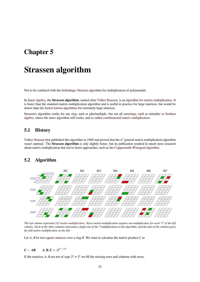# <span id="page-35-0"></span>**Chapter 5**

# **Strassen algorithm**

Not to be confused with the Schönhage–Strassen algorithm for multiplication of polynomials.

In linear algebra, the **Strassen algorithm**, named after Volker Strassen, is an algorithm for matrix multiplication. It is faster than the standard matrix multiplication algorithm and is useful in practice for large matrices, but would be slower than the fastest known algorithms [for extremely large](https://en.wikipedia.org/wiki/Sch%C3%B6nhage%E2%80%93Strassen_algorithm) matrices.

Strassen's algorithm works for any ring, such as plus/multiply, but not all semirings, such as min/plus or boolean al[gebra, where th](https://en.wikipedia.org/wiki/Linear_algebra)e naive algorithm still works, and so called [combinator](https://en.wikipedia.org/wiki/Volker_Strassen)ial m[atrix multiplication.](https://en.wikipedia.org/wiki/Matrix_multiplication_algorithm)

## **[5.1](https://en.wikipedia.org/wiki/Boolean_algebra) History**

<span id="page-35-1"></span>Volker Strassen first published this algorithm in 1969 and proved that the  $n^3$  general matrix multiplication algorithm wasn't optimal. The **Strassen algorithm** is only slightly better, but its publication resulted in much more research about matrix multiplication that led to faster approaches, such as the Coppersmith-Winograd algorithm.

# **[5.2 Algor](https://en.wikipedia.org/wiki/Volker_Strassen)ithm**

<span id="page-35-2"></span>

*The left column represents 2x2 matrix multiplication. Naïve matrix multiplication requires one multiplication for each "1" of the left column. Each of the other columns represents a single one of the 7 multiplications in the algorithm, and the sum of the columns gives the full matrix multiplication on the left.*

Let *A*, *B* be two square matrices [over a](https://en.wikipedia.org/wiki/Matrix_multiplication) ring *R*. We want to calculate the matrix product *C* as

# $C = AB$  **A***,* **B***,* **C**  $\in R^{2^n \times 2^n}$

If the matrices *A*, *B* [are not of ty](https://en.wikipedia.org/wiki/Square_matrix)pe  $2^n \times 2^n$  we fill the missing rows and columns with zeros.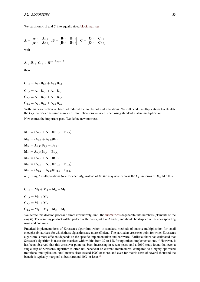We partition *A*, *B* and *C* into equally sized block matrices

$$
\mathbf{A} = \begin{bmatrix} \mathbf{A}_{1,1} & \mathbf{A}_{1,2} \\ \mathbf{A}_{2,1} & \mathbf{A}_{2,2} \end{bmatrix}, \mathbf{B} = \begin{bmatrix} \mathbf{B}_{1,1} & \mathbf{B}_{1,2} \\ \mathbf{B}_{2,1} & \mathbf{B}_{2,2} \end{bmatrix}, \mathbf{C} = \begin{bmatrix} \mathbf{C}_{1,1} & \mathbf{C}_{1,2} \\ \mathbf{C}_{2,1} & \mathbf{C}_{2,2} \end{bmatrix}
$$

with

$$
\mathbf{A}_{i,j}, \mathbf{B}_{i,j}, \mathbf{C}_{i,j} \in R^{2^{n-1} \times 2^{n-1}}
$$

then

$$
\begin{aligned} \mathbf{C}_{1,1} &= \mathbf{A}_{1,1}\mathbf{B}_{1,1} + \mathbf{A}_{1,2}\mathbf{B}_{2,1} \\ \mathbf{C}_{1,2} &= \mathbf{A}_{1,1}\mathbf{B}_{1,2} + \mathbf{A}_{1,2}\mathbf{B}_{2,2} \\ \mathbf{C}_{2,1} &= \mathbf{A}_{2,1}\mathbf{B}_{1,1} + \mathbf{A}_{2,2}\mathbf{B}_{2,1} \\ \mathbf{C}_{2,2} &= \mathbf{A}_{2,1}\mathbf{B}_{1,2} + \mathbf{A}_{2,2}\mathbf{B}_{2,2} \end{aligned}
$$

With this construction we have not reduced the number of multiplications. We still need 8 multiplications to calculate the *Ci,j* matrices, the same number of multiplications we need when using standard matrix multiplication.

Now comes the important part. We define new matrices

$$
M_1 := (A_{1,1} + A_{2,2})(B_{1,1} + B_{2,2})
$$
  
\n
$$
M_2 := (A_{2,1} + A_{2,2})B_{1,1}
$$
  
\n
$$
M_3 := A_{1,1}(B_{1,2} - B_{2,2})
$$
  
\n
$$
M_4 := A_{2,2}(B_{2,1} - B_{1,1})
$$
  
\n
$$
M_5 := (A_{1,1} + A_{1,2})B_{2,2}
$$
  
\n
$$
M_6 := (A_{2,1} - A_{1,1})(B_{1,1} + B_{1,2})
$$
  
\n
$$
M_7 := (A_{1,2} - A_{2,2})(B_{2,1} + B_{2,2})
$$

only using 7 multiplications (one for each  $M_k$ ) instead of 8. We may now express the  $C_{i,j}$  in terms of  $M_k$ , like this:

$$
C_{1,1} = M_1 + M_4 - M_5 + M_7
$$
  
\n
$$
C_{1,2} = M_3 + M_5
$$
  
\n
$$
C_{2,1} = M_2 + M_4
$$
  
\n
$$
C_{2,2} = M_1 - M_2 + M_3 + M_6
$$

We iterate this division process *n* times (recursively) until the submatrices degenerate into numbers (elements of the ring *R*). The resulting product will be padded with zeroes just like *A* and *B*, and should be stripped of the corresponding rows and columns.

Practical implementations of Strassen's algorithm switch to standard methods of matrix multiplication for small enough submatrices, for which those algorithms are more effici[ent. The par](https://en.wikipedia.org/wiki/Submatrices)ticular crossover point for which Strassen's algorithm is more efficient depends on the specific implementation and hardware. Earlier authors had estimated that Strassen's algorithm is faster for matrices with widths from 32 to 128 for optimized implementations.<sup>[1]</sup> However, it has been observed that this crossover point has been increasing in recent years, and a 2010 study found that even a single step of Strassen's algorithm is often not beneficial on current architectures, compared to a highly optimized traditional multiplication, until matrix sizes exceed 1000 or more, and even for matrix sizes of several thousand the benefit is typically marginal at best (around 10% or less).[2]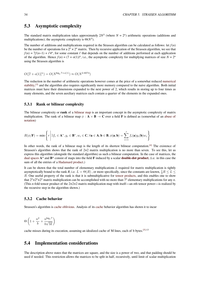# **5.3 Asymptotic complexity**

The standard matrix multiplication takes approximately  $2N^3$  (where  $N = 2^n$ ) arithmetic operations (additions and multiplications); the asymptotic complexity is  $\Theta(N^3)$ .

<span id="page-37-0"></span>The number of additions and multiplications required in the Strassen algorithm can be calculated as follows: let  $f(n)$ be the number of operations for a  $2^n \times 2^n$  matrix. Then by recursive application of the Strassen algorithm, we see that  $f(n) = 7f(n-1) + \ell 4^n$ , for some constant  $\ell$  that depends on the number of additions performed at each application of the algorithm. Hence  $f(n) = (7 + o(1))^n$ , i.e., the asymptotic complexity for multiplying matrices of size  $N = 2^n$ using the Strassen algorithm is

$$
O([7 + o(1)]n) = O(N^{\log_2 7 + o(1)}) \approx O(N^{2.8074})
$$

The reduction in the number of arithmetic operations however comes at the price of a somewhat reduced numerical stability,<sup>[3]</sup> and the algorithm also requires significantly more memory compared to the naive algorithm. Both initial matrices must have their dimensions expanded to the next power of 2, which results in storing up to four times as many elements, and the seven auxiliary matrices each contain a quarter of the elements in the expanded ones.

#### **[5.3.1](https://en.wikipedia.org/wiki/Numerical_stability) [R](https://en.wikipedia.org/wiki/Strassen_algorithm#cite_note-3)ank or bilinear complexity**

<span id="page-37-1"></span>The bilinear complexity or **rank** of a bilinear map is an important concept in the asymptotic complexity of matrix multiplication. The rank of a bilinear map  $\phi : \mathbf{A} \times \mathbf{B} \to \mathbf{C}$  over a field **F** is defined as (somewhat of an abuse of notation)

$$
R(\phi/\mathbf{F}) = \min \left\{ r \left| \exists f_i \in \mathbf{A}^*, g_i \in \mathbf{B}^*, w_i \in \mathbf{C}, \forall \mathbf{a} \in \mathbf{A}, \mathbf{b} \in \mathbf{B}, \phi(\mathbf{a}, \mathbf{b}) = \sum_{i=1}^r f_i(\mathbf{a}) g_i(\mathbf{b}) w_i \right\} \right\}
$$

In other words, the rank of a bilinear map is the length of its shortest bilinear computation.<sup>[4]</sup> The existence of Strassen's algorithm shows that the rank of  $2\times 2$  matrix multiplication is no more than seven. To see this, let us express this algorithm (alongside the standard algorithm) as such a bilinear computation. In the case of matrices, the dual spaces **A**\* and **B**\* consist of maps into the field **F** induced by a scalar **double-dot product**, (i.e. in this case the sum of all the entries of a Hadamard product.)

It can be shown that the total number of elementary multiplications *L* required for matrix multiplication is tightly asymptotically bound to the rank *R*, i.e.  $L = \Theta(R)$ , or more specifically, since the constants are known,  $\frac{1}{2}R \le L \le$ *R.* [One use](https://en.wikipedia.org/wiki/Dual_space)ful property of the rank is that it is submultiplicative for tens[or products, and this](https://en.wikipedia.org/wiki/Dot_product) enables one to show that  $2^n \times 2^n \times 2^n$  matrix mul[tiplication can be ac](https://en.wikipedia.org/wiki/Hadamard_product_(matrices))complished with no more than  $7^n$  elementary multiplications for any *n*. (This *n*-fold tensor product of the 2×2×2 matrix multiplication map with itself—an *n*th tensor power—is realized by the recursive step in the algorithm shown.)

#### **5.3.2 Cache behavior**

Strassen's algorithm is cache oblivious. Analysis of its cache behavior algorithm has shown it to incur

<span id="page-37-2"></span>
$$
\Theta\left(1+\frac{n^2}{b}+\frac{n^{\log_2 7}}{b\sqrt{M}}\right)
$$

cache misses during its execution, assuming an idealized cache of M lines, each of b bytes.<sup>[5]:13</sup>

# **5.4 Implementation considerations**

<span id="page-37-3"></span>The description above states that the matrices are square, and the size is a power of two, and that padding should be used if needed. This restriction allows the matrices to be split in half, recursively, until limit of scalar multiplication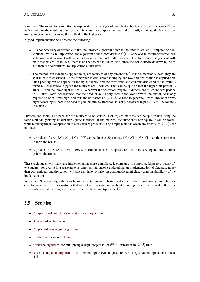is reached. The restriction simplifies the explanation, and analysis of complexity, but is not actually necessary;<sup>[6]</sup> and in fact, padding the matrix as described will increase the computation time and can easily eliminate the fairly narrow time savings obtained by using the method in the first place.

A good implementation will observe the following:

- It is not necessary or desirable to use the Strassen algorithm down to the limit of scalars. Compared to conventional matrix multiplication, the algorithm adds a considerable  $O(n^2)$  workload in addition/subtractions; so below a certain size, it will be better to use conventional multiplication. Thus, for instance, if you start with matrices that are 1600x1600, there is no need to pad to 2048x2048, since you could subdivide down to 25x25 and then use conventional multiplication at that level.
- The method can indeed be applied to square matrices of any dimension.<sup>[2]</sup> If the dimension is even, they are split in half as described. If the dimension is odd, zero padding by one row and one column is applied first. Such padding can be applied on-the-fly and lazily, and the extra rows and columns discarded as the result is formed. For instance, suppose the matrices are 199x199. They can be split so that the upper-left portion is 100x100 and the lower-right is 99x99. Wherever the operations require [it,](https://en.wikipedia.org/wiki/Strassen_algorithm#cite_note-dalberto-2) dimensions of 99 are zero padded to 100 first. Note, for instance, that the product  $M_2$  is only used in the lower row of the output, so is only required to be 99 rows high; and thus the left factor  $(A_{2,1} + A_{2,2})$  used to generate it need only be 99 rows high; accordingly, there is no need to pad that sum to 100 rows; it is only necessary to pad  $A_{2,2}$  to 100 columns to match  $A_{2,1}$ .

Furthermore, there is no need for the matrices to be square. Non-square matrices can be split in half using the same methods, yielding smaller non-square matrices. If the matrices are sufficiently non-square it will be worthwhile reducing the initial operation to more square products, using simple methods which are essentially  $O(n^2)$ , for instance:

- *•* A product of size [2*N* x *N*] \* [*N* x 10*N*] can be done as 20 separate [*N* x *N*] \* [*N* x *N*] operations, arranged to form the result;
- A product of size  $[N \times 10N]$  \*  $[10N \times N]$  can be done as 10 separate  $[N \times N]$  \*  $[N \times N]$  operations, summed to form the result.

These techniques will make the implementation more complicated, compared to simply padding to a power-oftwo square; however, it is a reasonable assumption that anyone undertaking an implementation of Strassen, rather than conventional, multiplication, will place a higher priority on computational efficiency than on simplicity of the implementation.

In practice, Strassen's algorithm can be implemented to attain better performance than conventional multiplication even for small matrices, for matrices that are not at all square, and without requiring workspace beyond buffers that are already needed for a high-performance conventional multiplication.<sup>[7]</sup>

# **5.5 See also**

- *•* Computational complexity of mathematical operations
- *•* Gauss–Jordan elimination
- *•* [Coppersmith–Winograd algorithm](https://en.wikipedia.org/wiki/Computational_complexity_of_mathematical_operations)
- *•* [Z-order matrix representat](https://en.wikipedia.org/wiki/Gauss%E2%80%93Jordan_elimination)ion
- [Karatsuba algorithm, for multiplyin](https://en.wikipedia.org/wiki/Coppersmith%E2%80%93Winograd_algorithm)g *n*-digit integers in  $O(n^{\log_2 3})$  instead of in  $O(n^2)$  time
- [Gauss's complex multiplicatio](https://en.wikipedia.org/wiki/Z-order_(curve))n algorithm multiplies two complex numbers using 3 real multiplications instead of 4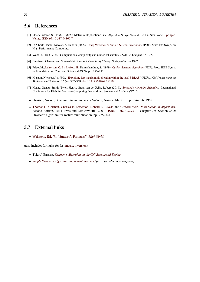# **5.6 References**

- [1] Skiena, Steven S. (1998), "§8.2.3 Matrix multiplication", *The Algorithm Design Manual*, Berlin, New York: Springer-Verlag, ISBN 978-0-387-94860-7.
- <span id="page-39-0"></span>[2] D'Alberto, Paolo; Nicolau, Alexandru (2005). *Using Recursion to Boost ATLAS's Performance* (PDF). Sixth Int'l Symp. on High Performance Computing.
- [3] [Webb,](https://en.wikipedia.org/wiki/Springer-Verlag) [Miller](https://en.wikipedia.org/wiki/International_Standard_Book_Number) [\(1975\). "Computatio](https://en.wikipedia.org/wiki/Special:BookSources/978-0-387-94860-7)nal complexity and numerical stability". *SIAM J. Comput*: 97–107.
- [4] Burgisser, Clausen, and Shokrollahi. *Algebraic Complexity Theory.* [Springer-Verlag 1997.](https://www.ics.uci.edu/~paolo/Reference/paoloA.ishp-vi.pdf)
- [5] Frigo, M.; Leiserson, C. E.; Prokop, H.; Ramachandran, S. (1999). *Cache-oblivious algorithms* (PDF). Proc. IEEE Symp. on Foundations of Computer Science (FOCS). pp. 285–297.
- [6] Higham, Nicholas J. (1990). "Exploiting fast matrix multiplication within the level 3 BLAS" (PDF). *ACM Transactions on Mathemati[cal Software](https://en.wikipedia.org/wiki/Charles_Leiserson)*. **16** [\(4\): 352–36](https://en.wikipedia.org/wiki/Harald_Prokop)8. doi:10.1145/98267.9829[0.](http://supertech.csail.mit.edu/papers/FrigoLePr99.pdf)
- [7] Huang, Jianyu; Smith, Tyler; Henry, Greg; van de Geijn, Robert (2016). *Strassen's Algorithm Reloaded*. International Conference for High Perfor[mance Computing, Networking, Storage and Analysis \(SC](http://www.maths.manchester.ac.uk/~higham/papers/high90s.pdf)'[16\).](http://www.maths.manchester.ac.uk/~higham/papers/high90s.pdf)
- *•* Strassen, Volker, *Gaussian Eliminatio[n is](https://en.wikipedia.org/wiki/Digital_object_identifier) [not Optimal](https://dx.doi.org/10.1145%252F98267.98290)*, Numer. Math. 13, p. 354-356, 1969
- *•* Thomas H. Cormen, Charles E. Leiserson, Ronald L. Rivest, and Clifford Stein. *[Introduction t](http://dl.acm.org/citation.cfm?doid=2807591.2807601)o Algorithms*, Second Edition. MIT Press and McGraw-Hill, 2001. ISBN 0-262-03293-7. Chapter 28: Section 28.2: Strassen's algorithm for matrix multiplication, pp. 735–741.

# **5.7 [External lin](https://en.wikipedia.org/wiki/Thomas_H._Cormen)[ks](https://en.wikipedia.org/wiki/Charles_E._Leiserson)**

*•* Weisstein, Eric W. "Strassen's Formulas". *MathWorld*.

<span id="page-39-1"></span>(also includes formulas for fast matrix inversion)

- *•* [Tyler J. Earnest,](https://en.wikipedia.org/wiki/Eric_W._Weisstein) *St[rassen's Algorithm on th](http://mathworld.wolfram.com/StrassenFormulas.html)[e Cell Broad](https://en.wikipedia.org/wiki/MathWorld)band Engine*
- *• Simple Strassen's algorith[ms implementatio](https://en.wikipedia.org/wiki/Matrix_inversion)n in C (easy for education purposes)*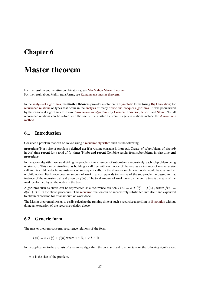# <span id="page-40-0"></span>**Chapter 6**

# **Master theorem**

For the result in enumerative combinatorics, see MacMahon Master theorem. For the result about Mellin transforms, see Ramanujan's master theorem.

In the analysis of algorithms, the **master theorem** provides a solution in asymptotic terms (using Big O notation) for recurrence relations of types that occur in the analysis of many [divide and c](https://en.wikipedia.org/wiki/MacMahon_Master_theorem)onquer algorithms. It was popularized by the canonical algorithms textbook *Intr[oduction to Algorithms](https://en.wikipedia.org/wiki/Ramanujan%2527s_master_theorem)* by Cormen, Leiserson, Rivest, and Stein. Not all recurrence relations can be solved with the use of the master theorem; its generalizations include the Akra–Bazzi metho[d.](https://en.wikipedia.org/wiki/Analysis_of_algorithms)

# **[6.1](https://en.wikipedia.org/wiki/Akra%E2%80%93Bazzi_method) Introduction**

<span id="page-40-1"></span>Consider a problem that can be solved using a recursive algorithm such as the following:

**procedure**  $T(n : size of problem)$  **defined as: if**  $n <$  some constant k **then exit** Create *'a'* subproblems of size n/b in d(n) time **repeat** for a total of *′a′* times T(n/b) **end repeat** Combine results from subproblems in c(n) time **end procedure**

In the above algorithm we are dividing the pro[blem into a number o](https://en.wikipedia.org/wiki/Recursive_algorithm)f subproblems recursively, each subproblem being of size *n*/*b*. This can be visualized as building a call tree with each node of the tree as an instance of one recursive call and its child nodes being instances of subsequent calls. In the above example, each node would have a number of child nodes. Each node does an amount of work that corresponds to the size of the sub problem n passed to that instance of the recursive call and given by  $f(n)$ . The total amount of work done by the entire tree is the sum of the work performed by all the nodes in the tree.

Algorithms such as above can be represented as a recurrence relation  $T(n) = a T(\frac{n}{b}) + f(n)$ , where  $f(n) =$  $d(n) + c(n)$  in the above procedure. This recursive relation can be successively substituted into itself and expanded to obtain expression for total amount of work done.<sup>[1]</sup>

The Master theorem allows us to easily calculate the running time of such a recursive algorithm in Θ-notation without doing an expansion of the recursive relatio[n above.](https://en.wikipedia.org/wiki/Recursion_(computer_science))

# **6.2 Generic form**

<span id="page-40-2"></span>The master theorem concerns recurrence relations of the form:

$$
T(n) = a T(\frac{n}{b}) + f(n)
$$
 where  $a \in \mathbb{N}, 1 < b \in \mathbb{R}$ 

In the application to the analysis of a recursive algorithm, the constants and function take on the following significance:

• *n* is the size of the problem.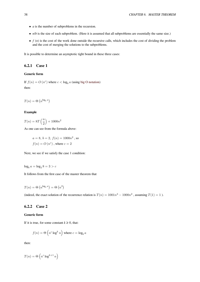- *• a* is the number of subproblems in the recursion.
- *n/b* is the size of each subproblem. (Here it is assumed that all subproblems are essentially the same size.)
- *f* (*n*) is the cost of the work done outside the recursive calls, which includes the cost of dividing the problem and the cost of merging the solutions to the subproblems.

It is possible to determine an asymptotic tight bound in these three cases:

### **6.2.1 Case 1**

#### **Generic form**

<span id="page-41-0"></span>If  $f(n) = O(n^c)$  where  $c < log_b a$  (using big O notation) then:

 $T(n) = \Theta(n^{\log_b a})$ 

#### **Example**

$$
T(n) = 8T\left(\frac{n}{2}\right) + 1000n^2
$$

As one can see from the formula above:

 $a = 8, b = 2, f(n) = 1000n^2$ , so  $f(n) = O(n^c)$ , where  $c = 2$ 

Next, we see if we satisfy the case 1 condition:

$$
\log_b a = \log_2 8 = 3 > c
$$

It follows from the first case of the master theorem that

$$
T(n) = \Theta\left(n^{\log_b a}\right) = \Theta\left(n^3\right)
$$

(indeed, the exact solution of the recurrence relation is  $T(n) = 1001n^3 - 1000n^2$ , assuming  $T(1) = 1$ ).

### **6.2.2 Case 2**

#### **Generic form**

<span id="page-41-1"></span>If it is true, for some constant  $k \geq 0$ , that:

$$
f(n) = \Theta\left(n^c \log^k n\right)
$$
 where  $c = \log_b a$ 

then:

$$
T(n)=\Theta\left(n^c\log^{k+1}n\right)
$$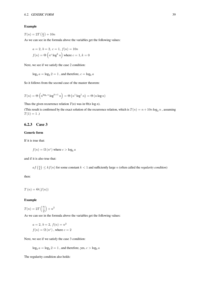#### **Example**

 $T(n) = 2T\left(\frac{n}{2}\right) + 10n$ 

As we can see in the formula above the variables get the following values:

$$
a = 2, b = 2, c = 1, f(n) = 10n
$$

$$
f(n) = \Theta\left(n^c \log^k n\right) \text{ where } c = 1, k = 0
$$

Next, we see if we satisfy the case 2 condition:

 $\log_b a = \log_2 2 = 1$  , and therefore,  $c = \log_b a$ 

So it follows from the second case of the master theorem:

$$
T(n) = \Theta\left(n^{\log_b a} \log^{k+1} n\right) = \Theta\left(n^1 \log^1 n\right) = \Theta\left(n \log n\right)
$$

Thus the given recurrence relation *T*(*n*) was in Θ(*n* log *n*).

(This result is confirmed by the exact solution of the recurrence relation, which is  $T(n) = n + 10n \log_2 n$ , assuming  $T(1) = 1.$ 

#### <span id="page-42-0"></span>**6.2.3 Case 3**

#### **Generic form**

If it is true that:

$$
f(n)=\Omega\left(n^{c}\right)
$$
 where  $c>\log_{b}a$ 

and if it is also true that:

 $af\left(\frac{n}{b}\right) \leq kf(n)$  for some constant  $k < 1$  and sufficiently large *n* (often called the *regularity condition*)

then:

 $T(n) = \Theta(f(n))$ 

#### **Example**

$$
T(n) = 2T\left(\frac{n}{2}\right) + n^2
$$

As we can see in the formula above the variables get the following values:

$$
a = 2, b = 2, f(n) = n2
$$
  
 $f(n) = \Omega(nc)$ , where  $c = 2$ 

Next, we see if we satisfy the case 3 condition:

 $\log_b a = \log_2 2 = 1$  , and therefore, yes,  $c > \log_b a$ 

The regularity condition also holds: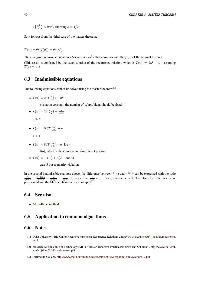$$
2\left(\frac{n^2}{4}\right) \le kn^2
$$
, choosing  $k = 1/2$ 

So it follows from the third case of the master theorem:

$$
T(n) = \Theta(f(n)) = \Theta(n^2).
$$

Thus the given recurrence relation  $T(n)$  was in  $\Theta(n^2)$ , that complies with the *f* (*n*) of the original formula.

(This result is confirmed by the exact solution of the recurrence relation, which is  $T(n) = 2n^2 - n$ , assuming  $T(1) = 1.$ 

## **6.3 Inadmissible equations**

<span id="page-43-0"></span>The following equations cannot be solved using the master theorem:<sup>[2]</sup>

•  $T(n) = 2^n T(\frac{n}{2}) + n^n$ 

*a* is not a constant; the number of subproblems shouldb[e fi](https://en.wikipedia.org/wiki/Master_theorem#cite_note-2)xed

•  $T(n) = 2T(\frac{n}{2}) + \frac{n}{\log n}$ 

 $n^{\log_b a}$ 

- $T(n) = 0.5T(\frac{n}{2}) + n$ 
	- $a < 1$
- $T(n) = 64T(\frac{n}{8}) n^2 \log n$

 $f(n)$ , which is the combination time, is not positive

•  $T(n) = T(\frac{n}{2}) + n(2 - \cos n)$ 

case 3 but regularity violation.

In the second inadmissible example above, the difference between  $f(n)$  and  $n^{\log_b a}$  can be expressed with the ratio *f*(*n*)  $\frac{f(n)}{n^{\log_b a}} = \frac{n/\log n}{n^{\log_2 2}} = \frac{n}{n \log n} = \frac{1}{\log n}$ . It is clear that  $\frac{1}{\log n} < n^{\epsilon}$  for any constant  $\epsilon > 0$ . Therefore, the difference is not polynomial and the Master Theorem does not apply.

## **6.4 See also**

<span id="page-43-1"></span>*•* Akra–Bazzi method

## **6.5 [Application](https://en.wikipedia.org/wiki/Akra%E2%80%93Bazzi_method) to common algorithms**

## <span id="page-43-2"></span>**6.6 Notes**

- <span id="page-43-3"></span>[1] Duke University, "Big-Oh for Recursive Functions: Recurrence Relations", http://www.cs.duke.edu/~{}ola/ap/recurrence. html
- [2] Massachusetts Institute of Technology (MIT), "Master Theorem: Practice Problems and Solutions", http://www.csail.mit. edu/~{}thies/6.046-web/master.pdf
- [3] [Dartm](http://www.cs.duke.edu/~ola/ap/recurrence.html)outh College, http://www.math.dartmouth.edu/archive/m19w03/public\_html/Section5-2.pdf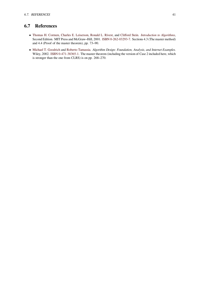# **6.7 References**

- *•* Thomas H. Cormen, Charles E. Leiserson, Ronald L. Rivest, and Clifford Stein. *Introduction to Algorithms*, Second Edition. MIT Press and McGraw–Hill, 2001. ISBN 0-262-03293-7. Sections 4.3 (The master method) and 4.4 (Proof of the master theorem), pp. 73–90.
- <span id="page-44-0"></span>*•* [Michael T. Goodrich](https://en.wikipedia.org/wiki/Thomas_H._Cormen) and [Roberto Tamassi](https://en.wikipedia.org/wiki/Charles_E._Leiserson)a. *[Algorithm Desig](https://en.wikipedia.org/wiki/Ronald_L._Rivest)n: Fo[undation, Ana](https://en.wikipedia.org/wiki/Clifford_Stein)l[ysis, and Internet Examples](https://en.wikipedia.org/wiki/Introduction_to_Algorithms)*. Wiley, 2002. ISBN 0-471-38365-1. The master theo[rem \(including the vers](https://en.wikipedia.org/wiki/Special:BookSources/0262032937)ion of Case 2 included here, which is stronger than the one from CLRS) is on pp. 268–270.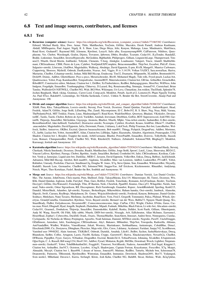# **6.8 Text and image sources, contributors, and licenses**

#### **6.8.1 Text**

- <span id="page-45-0"></span>*•* **Recursion (computer science)** *Source:* https://en.wikipedia.org/wiki/Recursion\_(computer\_science)?oldid=771865382 *Contributors:* Edward, Michael Hardy, Kku, Dwo, Aenar, Thilo, Mattflaschen, Tea2min, Giftlite, Macrakis, Derek Parnell, Andreas Kaufmann, Abdull, MMSequeira, Paul August, Nigelj, R. S. Shaw, Liao, Diego Moya, Jeltz, Kenyon, Mahanga, Linas, Mindmatrix, MattGiuca, Ruud Koot, Graham87, Raymond Hill, Jclemens, Rjwilmsi, Leeyc0, Salix alba, Essayemyoung4009, CalPaterson, Nihiltres, Quuxplusone, Ver, Chobot, Wavelength, Grafen, Dijxtra, Trovatore, Jpbowen, Dbfirs, Rwalker, Tcsetattr, Cedar101, JLaTondre, RandallZ, Brahle, Linkminer, SmackBot, InverseHy[percube, McGeddon, Bigbluefish, Philiprogers, Gilliam, LinguistAtLarge, Thump](https://en.wikipedia.org/wiki/Recursion_(computer_science)?oldid=771865382)erward, Timneu22, Nbarth, David Morón, JonHarder, Tobyink, Clements, T-borg, Almkglor, Loadmaster, Valepert, Tmcw, AlainD, Shabbirbhimani, CRGreathouse, CBM, Pierre de Lyon, Cydebot, NotQuiteEXPComplete, BetacommandBot, Thijs!bot, Escarbot, PhiLiP, Gioto, Salgueiro~enwiki, Lfstevens, JAnDbot, Magioladitis, Walkeraj, Abednigo, David Eppstein, E-pen, R'n'B, Mange01, Maurice Carbonaro, Coppertwig, Shoessss, Mythrill, Oshwah, DaoKaioshin, Nxavar, Awl, Viggio, Pi is 3.14159, Volkan YAZICI, Sara.noorafkan, Hariva, Martarius, ClueBot, Cchantep~enwiki, Jeshan, Mild Bill Hiccup, Erudecorp, Tim32, Dsamarin, M4gnum0n, XLinkBot, Brentsmith101, Drolz09, Dsimic, Addbot, Ghettoblaster, Poco a poco, Merarischroeder, Btx40, Mohamed Magdy, Tide rolls, Fryed-peach, Luckas-bot, Quadrescence, Yobot, Pcap, KamikazeBot, Tempodivalse, AnomieBOT, Materialscientist, Citation bot, GB fan, ArthurBot, GrouchoBot, RibotBOT, Constructive editor, Medanat, Citation bot 1, DrilBot, XxTimberlakexx, RedBot, Babayagagypsies, MoreNet, WillNess, John lindgren, Forgefight, EmausBot, Tranhungnghiep, Chharvey, D.Lazard, Bxj, RenaissanceBug, Simurgia, Arnaud741, Carmichael, Brian Tansley, Walfredo424-NJITWILL, ClueBot NG, Widr, BG19bot, Wikimpan, Uri-Levy, Chmarkine, Jon.weldon, TheJJJunk, Splendor78, Jochen Burghardt, Mark viking, Gratimax, Carrot Lord, Comp.arch, Monkbot, Peturb, Jacob p12, Lomotos10, Phạm Nguyễn Trường An, Paul STice, Rakshit93, Lemondoge, Sri Nikitha Sarikonda, Cortis1, Ushkin N, Bender the Bot, SweetCisvestite, Akanji Paul and Anonymous: 196
- Divide and conquer algorithm *Source:* https://en.wikipedia.org/wiki/Divide\_and\_conquer\_algorithm?oldid=763063247 *Contributors:* XJaM, Pnm, Kku, TakuyaMurata, Looxix~enwiki, Stevenj, Poor Yorick, Dcoetzee, Daniel Quinlan, Furrykef, AndrewKepert, Head, Fredrik, Adam78, Giftlite, Jorge Stolfi, LiDaobing, Phe, Zamfi, Mycompsimm, El C, Bobo192, R. S. Shaw, Neg, Nsaa, Mdd, Varuna, ThePedanticPrick, MIT Trekkie, Finem, Linas, Madmardigan53, Ruud Koot, WadeSimMiser, Qwertyus, Bhadani, VKokielov, DevastatorIIC, Tardis, Taichi, Chobot, Roboto de Ajvol, YurikBot, Amshali, Irrevenant, Dtrebbien, Goffrie, BOT-Superzerocool, Josh3580, Garion96, Thijswijs, SmackBot, McGeddon, [Unyoyega, Atomota, Bluebot, Nbarth, Mlpkr, Vina-iwbot~enwiki, SashatoBot, G](https://en.wikipedia.org/wiki/Divide_and_conquer_algorithm?oldid=763063247)-Bot~enwiki, BrownHairedGirl, Jake-helliwell, Tawkerbot2, Destructor~enwiki, Nczempin, Cydebot, Jfcorbett, Krauss, IrishPete, Dhrm77, JAnDbot, .anacondabot, Magioladitis, David Eppstein, JaGa, Drewmutt, Pomte, J.delanoy, LokiClock, Philip Trueman, Rei-bot, LanceBarber, Wolfrock, SieBot, Antzervos, OKBot, Excirial, Quercus basaseachicensis, Bob man801, Thingg, Pichpich, DragonFury, Addbot, Mortense, CL, Jarble, Luckas-bot, Yobot, AnomieBOT, Ailun, Citation bot, LilHelpa, Xqbot, Ekaratsuba, Almabot, Algoritmist, Prunesqualer, UTQ Shadow, Citation bot 1, Boxplot, Trappist the monk, ArbitUsername, Bluefist, PowerPaul86, EmausBot, Dcirovic, Tolly4bolly, Staszek Lem, Bomazi, ChuispastonBot, Petrb, ClueBot NG, Widr, Riteshrit20, Nullzero, Zebulon84, Solomon7968, Bloghog23, Monkbot, Kurousagi, Jewkub and Anonymous: 101
- *•* **Karatsuba algorithm** *Source:* https://en.wikipedia.org/wiki/Karatsuba\_algorithm?oldid=752936243 *Contributors:* Michael Hardy, Stevenj, Cherkash, Nikola Smolenski, Dcoetzee, Doradus, Ruakh, Mattflaschen, Giftlite, Jorge Stolfi, Spoon!, LutzL, Linas, Shreevatsa, BD2412, Vincent Lefèvre, Rjwilmsi, Parerga, Chobot, Bgwhite, Arado, SmackBot, Berland, Cronholm144, Jafet, CRGreathouse, Ksoileau, Cydebot, Verdy p, Jamesjiao, Liquid-aim-bot, Darklilac, MER-C, Javazen, David Eppstein, VolkovBot, Enkya, Dmcq, Babloyi, JackSchmidt, Adrianwn, Mild Bill Hiccup, Alexbot, Bob man801, Aigdonia, XLinkBot, Marc van Leeuwen, Addbot, LaaknorBot, PV=nRT, Yobot, Rubinbot, Unready, Poolisfun, [Charvest, Smallman12q, Douglas W. Jones, X7q, Steve Quinn, Xnn, Em](https://en.wikipedia.org/wiki/Karatsuba_algorithm?oldid=752936243)ausBot, WikitanvirBot, Nkyaelly, KuduIO, Staszek Lem, GermanJoe, ClueBot NG, Solomon7968, JingguoYao, Jeff Erickson, Kizzlemonster, Rhuaidhri, Andylamp, Nstrch, Wqwt, Theo Kortekaas, Faslof, Bender the Bot, Soubhik and Anonymous: 91
- *•* **Merge sort** *Source:* https://en.wikipedia.org/wiki/Merge\_sort?oldid=772302381 *Contributors:* Damian Yerrick, Lee Daniel Crocker, Mav, The Anome, JohnOwens, Chris-martin, Pnm, Shellreef, Dcljr, TakuyaMurata, Eric119, Minesweeper, Rl, Timwi, Dcoetzee, Ww, Kbk, Daniel Quinlan, Jogloran, Joshk, Furrykef, Thue, Garo, Robbot, Fredrik, Tomchiukc, Romanm, JerryFriedman, Jleedev, Tea2min, Decrypt3, Giftlite, DocWatson42, Frencheigh, T0m, JF Bastien, Neilc, Chowbok, Pgan002, Knutux, Onco p53, Wilagobler, Nickls, Sam nead, Naku~enwiki, Oskar Sigvardsson, Rfl, Discospinster, Rich Farmbrough, Guanabot, Rspeer, ArnoldReinhold, Sperling, Kenb215, Danakil, MisterShei[k, Adambro, Jpl~enwiki, Nyenyec, BrokenSegue, Mikewebki](https://en.wikipedia.org/wiki/Merge_sort?oldid=772302381)st, Haham hanuka, Ossi~enwiki, Jumbuck, Alansohn, Sligocki, Swift, Caesura, ReyBrujo, Mattjohnson, Dr. Gonzo, WojciechSwiderski~enwiki, Forderud, Kenyon, Bobrayner, Daniel Geisler, Soultaco, Mntlchaos, Nuno Tavares, Merlinme, Jacobolus, Ruud Koot, Vorn, Fred J, GregorB, Tommunist, Palica, Pfalstad, Wbeek, Qwertyus, GrundyCamellia, Grammarbot, Rjwilmsi, Vexis, Bayard~enwiki, Bernard van der Wees, Bubba73, Nguyen Thanh Quang, SLi, StuartBrady, FlaBot, Ewlyahoocom, DevastatorIIC, Comocomocomocomo, Intgr, CiaPan, CJLL Wright, Chobot, DVdm, Garas, Cactus.man, Peterl, Dbagnall, Hyad, Jengelh, Stephenb, Zhaladshar, Mipadi, Fashnek, Mikeblas, Black Falcon, Lt-wiki-bot, Abu adam~enwiki, Cedar101, GraemeL, Donhalcon, Thijswijs, SmackBot, Damonkohler, Kalebdf, Renku, Delldot, Scott Paeth, Gilliam, Ohnoitsjamie, Andy M. Wang, Sirex98, Oli Filth, Silly rabbit, Nbarth, DHN-bot~enwiki, Nixeagle, Avb, EdSchouten, Allan McInnes, Easwarno1, HoserHead, Zophar1, Cybercobra, Duckbill, OranL, Oxaric, ThomasMueller, SeanAhern, Itmozart, Andrei Stroe, Nmnogueira, Cuzelac, Cyclopaedic, Sir Nicholas de Mimsy-Porpington, Apoorbo, Noah Salzman, Dammit, MTSbot~enwiki, Negrulio, PavelY, UncleDouggie, GDallimore, Amiodusz, Jafet, Xueshengyao, CRGreathouse, Ahy1, Bakanov, Mblumber, Thijs!bot, Towopedia, Radiozilla, Ablonus, AntiVandalBot, WinBot, Widefox, VineetKumar, Jirka6, Wootery, Martinkunev, SiobhanHansa, Antientropic, CobaltBlue, Dima1, Eleschinski2000, Cic, Destynova, Dbingham, Pkrecker, Maju wiki, Glrx, Ceros, J.delanoy, Acalamari, Faridani, Sanjay742, ScottBurson, Vanished user 39948282, Alain Amiouni, TXiKiBoT, Oshwah, Daztekk, Amahdy, Liko81, JhsBot, Sychen, SashaMarievskaya, Dmcq, Rhanekom, SieBot, Coffee, Artagnon, Laoris, Fizo86, Keilana, Ctxppc, Garrettw87, Hariva, Xhackeranywhere, Novas0x2a, ClueBot, DFRussia, PipepBot, Fyyer, Garyzx, N26ankur, DragonBot, Excirial, Bender2k14, TobiasPersson, Johnuniq, XLinkBot, EAspenwood, Oğuz Ergin, C. A. Russell, Bill wang1234, Hoof1341, Addbot, Fyrael, Miskaton, Rcgldr, MrOllie, Download, Worch, Lightbot, Ninjatummen~enwiki, Geeker87, Yobot, Tohd8BohaithuGh1, Fraggle81, Timeroot, NotARusski, Naderra, AnomieBOT, Erel Segal, Kingpin13, Citation bot, ArthurBot, JimVC3, Octotron, Locobot, A3ng3l, Shadowjams, Captain Fortran, Kracekumar, FrescoBot, X7q, Mctpyt, Ahmadsh, Mecej4, Citation bot 1, Base698, I dream of horses, Jonesey95, Mutinus, RedBot, Tuttu4u, Michele bon, Schorzman78, Deanonwiki, Patmorin, TBloemink, RjwilmsiBot, Wintonian, EmausBot, Immunize, Dewritech, Shashwat2691, Bor75, Yodamgod, Sven nestle2, Mlhetland, Duvavic1, Eserra, Swfung8, Klrste, Josh Kehn, ClueBot NG, Jheld88, Strcat, Hofmic, Widr, Jk2q3jrklse,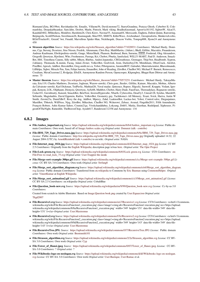Riemann'sZeta, BG19bot, Ravishanker.bit, Emadix, Villaone56, David.moreno72, StarryGrandma, Pratyya Ghosh, Cyberbot II, Colemanfoley, Deepakabhyankar, Sam.ldite, Dexbot, Maeln, Pintoch, Mark viking, Bradleykuszmaul, Apoorva181192, SigbertW, Alcat33, Kaushik0402, MSheshera, Monkbot, Harshitm26, Chris Kirov, Navstar55, Ansuman04, Merocastle, Engheta, Dalton Quinn, Ranværing, Beijingxilu, ScottDNelson, Swrobinson26, Rasmusgude, Shia1993, SS007S, KillerWave, Avichouhan1, Geospizafortis, Shinkevich.robo, KGirlTrucker81, GreenC bot, Fmadd, Marvellous Spider-Man, Nickthequik, Deacon Vorbis, Tompop888, Jlyons24 and Anonymous: 450

- *•* **Strassen algorithm** *Source:* https://en.wikipedia.org/wiki/Strassen\_algorithm?oldid=771028931 *Contributors:* Michael Hardy, Dominus, Cyp, Stevenj, Dcoetzee, Jitse Niesen, Fredrik, Altenmann, Chris Roy, MathMartin, (:Julien:), Bkell, Giftlite, Macrakis, Pmanderson, Andreas Kaufmann, Elwikipedista~enwiki, Gauge, MisterSheik, Phansen, Benbread, Burn, Suruena, [2][2][2], Forderud, Oleg Alexandrov, GregorB, Qwertyus, Rjwilmsi, Who, Fresheneesz, Parerga, Kri, Chobot, Pburka, Iamfscked, WILLY-MART, Paul D. Anderson, Smack-Bot, Hftf, Timotheus Canens, Silly rabbit, Mhym, Rhebus, Andrei.lopatenko, CRGreathouse, Gremagor, Thijs!bot, Headbomb, Xypron, J.delanoy, Thomasda, K.men[in, Facuq, Adam Zivner, VolkovBot, Goelvivek, Jesin, Darkieboy23](https://en.wikipedia.org/wiki/Strassen_algorithm?oldid=771028931)6, Mimihitam, OboeCrack, Alexbot, PixelBot, Aprock, Addbot, HerculeBot, Greg.smith.tor.ca, Yobot, Ptbotgourou, AnomieBOT, Galoubet, Materialscientist, Bhaveshnande, LilHelpa, Xqbot, Miracle Pen, Xnn, Felipe.barreta, EmausBot, John of Reading, ZéroBot, ClueBot NG, Michael P. Barnett, Remococco, Coralium, МетаСкептик12, Rvdgeijn, E8xE8, Anonymous Random Person, Opencooper, Kkpengboy, Bhagat Ram Dhiwar and Anonymous: 75
- *•* **Master theorem** *Source:* https://en.wikipedia.org/wiki/Master\_theorem?oldid=770573251 *Contributors:* Michael Hardy, TakuyaMurata, Eric119, Charles Matthews, Dcoetzee, Jogloran, Wazow~enwiki, Chris-gore, Jleedev, Giftlite, Kainaw, Macrakis, Mobius, Alberto da Calvairate~enwiki, Karl Dickman, TedPavlic, Mathiasl26, Yuval madar, Qutezuce, Rspeer, Sligocki, Snowolf, Krappie, Vedant, Igorpak, Kenyon, LOL, Oliphaunt, Dionyziz, Qwertyus, AySz88, Mathbot, Chobot, Hairy Dude, FauxFaux, Thoreaulylazy, Regnaron~enwiki, Cedar101, Gavinbeatty, Kaisenl, SmackBot, BeteNoir, InverseHypercube, Nbarth, Cybercobra, Dead3y3, Unreal128, Sytelus, Marek69, Seftembr, Magioladitis, D[avid Eppstein, Ratfox, VolkovBot, Geometry guy, Tachikoma's Al](https://en.wikipedia.org/wiki/Master_theorem?oldid=770573251)l Memory, Xvani, Svick, Hariva, Justin W Smith, Zeroin23a, DumZiBoT, Roxy the dog, Addbot, Mpercy, Zahd, LaaknorBot, Luckas-bot, Yobot, Control.valve, Diegusjaimes, MastiBot, Tbhotch, WillNess, Njsg, ZéroBot, Mikechen, ClueBot NG, Wcherowi, Zebasz, Avsmal, Fingolfin2811, Fifth Amendment, François Robere, Ashis Kumar Sahoo, Cosmin21gs, Vivekchanddubey, Lokyung, Drh01, Matiia, Eteethan, Rushilpaul, Xiphoseer, PigeonOfTheNight, Ratneshlit, TheBravosChop, Ayush617, Randerson112358 and Anonymous: 134

#### **6.8.2 Images**

- *•* **File:Ambox\_important.svg** *Source:* https://upload.wikimedia.org/wikipedia/commons/b/b4/Ambox\_important.svg *License:* Public domain *Contributors:* Own work, based off of Image:Ambox scales.svg *Original artist:* Dsmurat (talk **·** contribs)
- *•* **File:IBM\_729\_Tape\_Drives.nasa.jpg** *Source:* https://upload.wikimedia.org/wikipedia/commons/6/6c/IBM\_729\_Tape\_Drives.nasa.jpg *License:* Public domain *Contributors:* http://en.wikipedia.org/wiki/File:IBM\_729\_Tape\_Drives.nasa.jpg Originally uploaded 14:32, 22 August 2004 (UTC) by ArnoldReinhold (talk • contribs) to en:wiki. *Original artist:* NASA
- *•* **File:Internet\_map\_1024.jpg** *Source:* [https](https://upload.wikimedia.org/wikipedia/commons/b/b4/Ambox_important.svg)[://upload.wikimedia.org](//commons.wikimedia.org/wiki/File:Ambox_scales.svg)[/wikipedia/com](https://upload.wikimedia.org/wikipedia/commons/b/b4/Ambox_important.svg)[mons/d/d](//commons.wikimedia.org/wiki/User:Dsmurat)[2/Int](//commons.wikimedia.org/wiki/User_talk:Dsmurat)[e](https://upload.wikimedia.org/wikipedia/commons/b/b4/Ambox_important.svg)[rnet\\_ma](//commons.wikimedia.org/wiki/Special:Contributions/Dsmurat)[p\\_1024.j](https://upload.wikimedia.org/wikipedia/commons/b/b4/Ambox_important.svg)pg *License:* CC BY 2.5 *Contributors:* Originally from the English Wikipedia; description page is/was here. *Original artist:* The Opte Project
- *•* **File:Lock-green.svg** *Source:* https://[upload.wikimedia.org/wikipedia/commons/6/65/Lock-green.svg](http://en.wikipedia.org/wiki/File:IBM_729_Tape_Drives.nasa.jpg) *License:* CC0 *Contributors:* en: File:Free-to-read\_lock\_75.svg *[Original](https://en.wikipedia.org/wiki/User:ArnoldReinhold)a[rtist:](https://en.wikipedia.org/wiki/User_talk:ArnoldReinhold)* [User:Tra](https://en.wikipedia.org/wiki/Special:Contributions/ArnoldReinhold)ppist the monk
- *•* **File:Merge-sort-example-300px.gif** *Source:* [https://upload.wikimedia.org/wikipedia/commons/c/cc/Merge-sort-exam](https://upload.wikimedia.org/wikipedia/commons/d/d2/Internet_map_1024.jpg)ple-300px.gif *License:* CC BY-SA 3.0 *Contributors:* [Own work](https://en.wikipedia.org/wiki/Main_Page) *Original artist:* Swfung8
- *•* **File:Merge\_sort\_algorithm\_diagram.svg** *Source:* [https://upload.wikimedia.org/wikipedia/commons/](https://upload.wikimedia.org/wikipedia/commons/6/65/Lock-green.svg)e/e6/Merge\_sort\_algorithm\_[diag](https://en.wikipedia.org/wiki/File:Free-to-read_lock_75.svg)ram. svg *License:* [Public domain](https://en.wikipedia.org/wiki/File:Free-to-read_lock_75.svg) *Contributors:* Tran[sferred from](//commons.wikimedia.org/w/index.php?title=User:Trappist_the_monk&action=edit&redlink=1) en.wikipedia to Commons by Eric Bauman using CommonsHelper. *Original artist:* VineetKumar at English Wikipedia
- *•* **File:Merge\_sort\_animation2.gif** *Source:* htt[ps://upload.wiki](https://upload.wikimedia.org/wikipedia/commons/c/cc/Merge-sort-example-300px.gif)[media.or](//commons.wikimedia.org/w/index.php?title=User:Swfung8&action=edit&redlink=1)[g/wikipedia/commons/c/c5/Merge\\_sort\\_animation2.gif](https://upload.wikimedia.org/wikipedia/commons/c/cc/Merge-sort-example-300px.gif) *License:* CC BY-SA 2.5 *Contributors:* en.wikipedia *Original artist:* CobaltBlue
- *•* **[File](https://upload.wikimedia.org/wikipedia/commons/e/e6/Merge_sort_algorithm_diagram.svg):Question\_book-new.svg** *Source:* https://uploa[d.wiki](https://upload.wikimedia.org/wikipedia/commons/e/e6/Merge_sort_algorithm_diagram.svg)[media.org/wi](//en.wikipedia.org)[kipedia/en/9/99/](https://upload.wikimedia.org/wikipedia/commons/e/e6/Merge_sort_algorithm_diagram.svg)[Question\\_boo](//commons.wikimedia.org/w/index.php?title=User:Eric_Bauman&action=edit&redlink=1)[k-new.svg](https://upload.wikimedia.org/wikipedia/commons/e/e6/Merge_sort_algorithm_diagram.svg) *[License:](https://tools.wmflabs.org/commonshelper/)* Cc-by-sa-3.0 *Contri[butors:](https://en.wikipedia.org/wiki/User:VineetKumar)*

Created from scratch in Adobe Illustrator. Based on [Image:Question book.png](https://upload.wikimedia.org/wikipedia/commons/c/c5/Merge_sort_animation2.gif) created by User:Equazcion *Original artist:* Tkgd2007

- *•* **File:Recursive1.svg** *Source:* https://upl[oad.wikimedia.org/wikipedia/commons/a/a7/Recursive1.svg](https://upload.wikimedia.org/wikipedia/en/9/99/Question_book-new.svg) *License:* CC0 *Contributors:* <a href='//commons. wikimedia.org/wiki/File:RecursiveFunction1\_execution.png' class='image'><img alt='RecursiveFunction1 execution.png' src='https://upload. wikimedia.org/wikipedia/commons/8/8a/Recursive[Function1\\_execution.png](//en.wikipedia.org/wiki/File:Question_book.png)' width='34[9](//en.wikipedia.org/wiki/User:Equazcion)' [height=](//en.wikipedia.org/wiki/User:Equazcion)'[151](//en.wikipedia.org/wiki/User:Equazcion)' [d](//en.wikipedia.org/wiki/User:Equazcion)ata-file-width='349' data-fileheight='151' /></a> *Original artist:* User:Maxtremus
- *•* **[File:Recu](//en.wikipedia.org/wiki/User:Tkgd2007)rsive2.svg** *Source:* https://upload.wikimedia.org/wikipedia/commons/f/fe/Recursive2.svg *License:* CC0 *Contributors:* <a href='//commons. wikimedia.org/wiki/File:Rec[ursiveFunction2\\_execution.png' class='image'><img alt='RecursiveFunc](https://upload.wikimedia.org/wikipedia/commons/a/a7/Recursive1.svg)tion2 execution.png' src='https://upload. wikimedia.org/wikipedia/commons/0/0d/RecursiveFunction2\_execution.png' width='349' height='143' data-file-width='349' data-fileheight='143' /></a> *Original artist:* User:Maxtremus
- *•* **File:RecursiveTree.JPG** *Source:* [https://upload.wik](//commons.wikimedia.org/w/index.php?title=User:Maxtremus&action=edit&redlink=1)imedia.org/wikipedia/commons/f/f7/RecursiveTree.JPG *License:* Public domain *Contributors:* Own work *Original artist:* [Brentsmith101](https://upload.wikimedia.org/wikipedia/commons/f/fe/Recursive2.svg)
- *•* **File:Strassen\_algorithm.svg** *Source:* https://upload.wikimedia.org/wikipedia/commons/2/2e/Strassen\_algorithm.svg *License:* CC BY-SA 3.0 *Contributors:* Own work *Ori[ginal artist:](//commons.wikimedia.org/w/index.php?title=User:Maxtremus&action=edit&redlink=1)* Cyp
- *•* **File:Tower\_of\_Hanoi.jpeg** *Source:* [https://upload.wikimedia.org/wikipedia/commons/0/07/Tower\\_of\\_Hano](https://upload.wikimedia.org/wikipedia/commons/f/f7/RecursiveTree.JPG)i.jpeg *License:* CC-BY-SA-3.0 *Contributors:* ? *Original artist:* ?
- *•* **File:Wikibooks-logo-en-noslogan.svg** *Source:* [https://upload.wikimedia.org/wikipedia/commons/d/df/Wikibooks-l](https://upload.wikimedia.org/wikipedia/commons/2/2e/Strassen_algorithm.svg)ogo-en-noslogan. svg *License:* CC BY-SA 3.0 *Contributors:* Own [work](//commons.wikimedia.org/wiki/User:Cyp) *Original artist:* User:Bastique, User:Ramac et al.